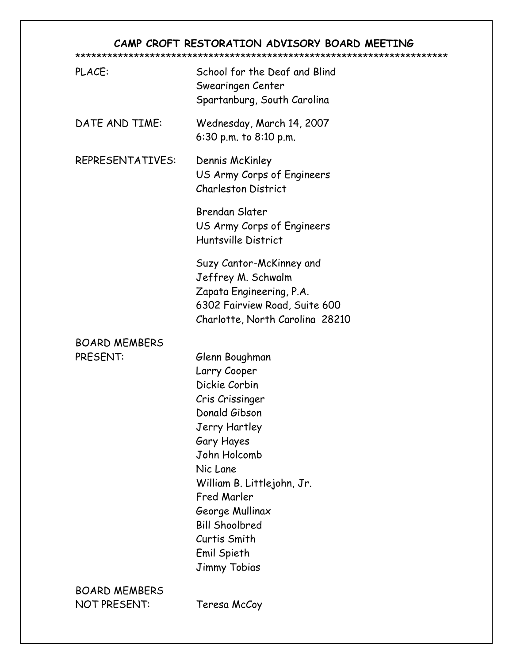# CAMP CROFT RESTORATION ADVISORY BOARD MEETING

## \*\*\*\*\*\*\*\*\*\*\*\*\*\*\*\*\*\*\*\*\*\*\*\*\*\*\*\*\*\*\*\*\*\*\*\*\*\*\*\*\*\*\*\*\*\*\*\*\*\*\*\*\*\*\*\*\*\*\*\*\*\*\*\*\*\*\*\*\*\*

| PLACE:                                      | School for the Deaf and Blind<br>Swearingen Center<br>Spartanburg, South Carolina                                                                                                                                                                                                             |
|---------------------------------------------|-----------------------------------------------------------------------------------------------------------------------------------------------------------------------------------------------------------------------------------------------------------------------------------------------|
| DATE AND TIME:                              | Wednesday, March 14, 2007<br>6:30 p.m. to $8:10$ p.m.                                                                                                                                                                                                                                         |
| <b>REPRESENTATIVES:</b>                     | Dennis McKinley<br>US Army Corps of Engineers<br><b>Charleston District</b>                                                                                                                                                                                                                   |
|                                             | <b>Brendan Slater</b><br>US Army Corps of Engineers<br>Huntsville District                                                                                                                                                                                                                    |
|                                             | Suzy Cantor-McKinney and<br>Jeffrey M. Schwalm<br>Zapata Engineering, P.A.<br>6302 Fairview Road, Suite 600<br>Charlotte, North Carolina 28210                                                                                                                                                |
| <b>BOARD MEMBERS</b><br>PRESENT:            | Glenn Boughman<br>Larry Cooper<br>Dickie Corbin<br>Cris Crissinger<br>Donald Gibson<br>Jerry Hartley<br>Gary Hayes<br>John Holcomb<br>Nic Lane<br>William B. Littlejohn, Jr.<br>Fred Marler<br>George Mullinax<br><b>Bill Shoolbred</b><br>Curtis Smith<br>Emil Spieth<br><b>Jimmy Tobias</b> |
| <b>BOARD MEMBERS</b><br><b>NOT PRESENT:</b> | Teresa McCoy                                                                                                                                                                                                                                                                                  |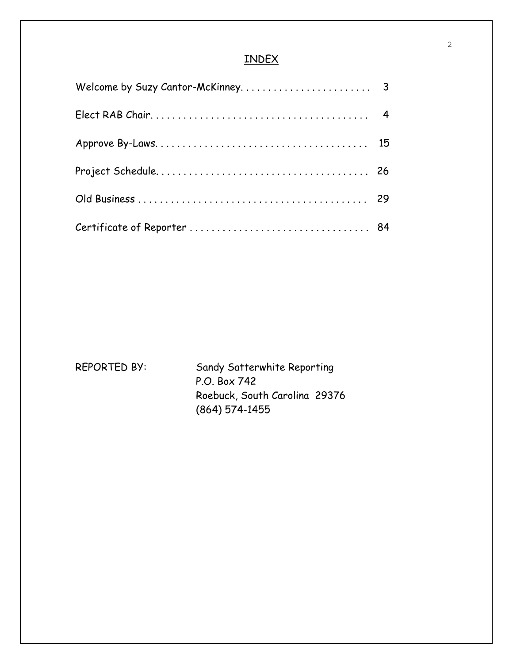# INDEX

REPORTED BY: Sandy Satterwhite Reporting P.O. Box 742 Roebuck, South Carolina 29376 (864) 574-1455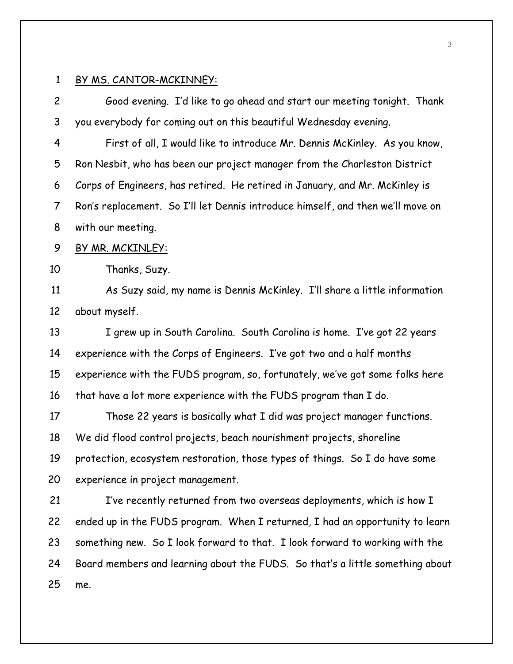2 Good evening. I'd like to go ahead and start our meeting tonight. Thank 3 you everybody for coming out on this beautiful Wednesday evening. 4 First of all, I would like to introduce Mr. Dennis McKinley. As you know, 5 Ron Nesbit, who has been our project manager from the Charleston District 6 Corps of Engineers, has retired. He retired in January, and Mr. McKinley is 7 Ron's replacement. So I'll let Dennis introduce himself, and then we'll move on 8 with our meeting. 9 BY MR. MCKINLEY: 10 Thanks, Suzy. 11 As Suzy said, my name is Dennis McKinley. I'll share a little information 12 about myself. 13 I grew up in South Carolina. South Carolina is home. I've got 22 years 14 experience with the Corps of Engineers. I've got two and a half months 15 experience with the FUDS program, so, fortunately, we've got some folks here 16 that have a lot more experience with the FUDS program than I do. 17 Those 22 years is basically what I did was project manager functions. 18 We did flood control projects, beach nourishment projects, shoreline 19 protection, ecosystem restoration, those types of things. So I do have some 20 experience in project management. 21 I've recently returned from two overseas deployments, which is how I 22 ended up in the FUDS program. When I returned, I had an opportunity to learn 23 something new. So I look forward to that. I look forward to working with the 24 Board members and learning about the FUDS. So that's a little something about

25 me.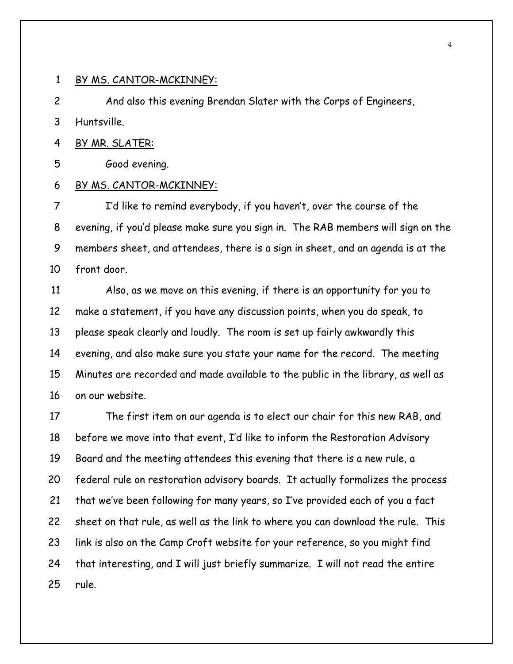2 And also this evening Brendan Slater with the Corps of Engineers,

3 Huntsville.

4 BY MR. SLATER:

5 Good evening.

## 6 BY MS. CANTOR-MCKINNEY:

7 I'd like to remind everybody, if you haven't, over the course of the 8 evening, if you'd please make sure you sign in. The RAB members will sign on the 9 members sheet, and attendees, there is a sign in sheet, and an agenda is at the 10 front door.

11 Also, as we move on this evening, if there is an opportunity for you to 12 make a statement, if you have any discussion points, when you do speak, to 13 please speak clearly and loudly. The room is set up fairly awkwardly this 14 evening, and also make sure you state your name for the record. The meeting 15 Minutes are recorded and made available to the public in the library, as well as 16 on our website.

17 The first item on our agenda is to elect our chair for this new RAB, and 18 before we move into that event, I'd like to inform the Restoration Advisory 19 Board and the meeting attendees this evening that there is a new rule, a 20 federal rule on restoration advisory boards. It actually formalizes the process 21 that we've been following for many years, so I've provided each of you a fact 22 sheet on that rule, as well as the link to where you can download the rule. This 23 link is also on the Camp Croft website for your reference, so you might find 24 that interesting, and I will just briefly summarize. I will not read the entire 25 rule.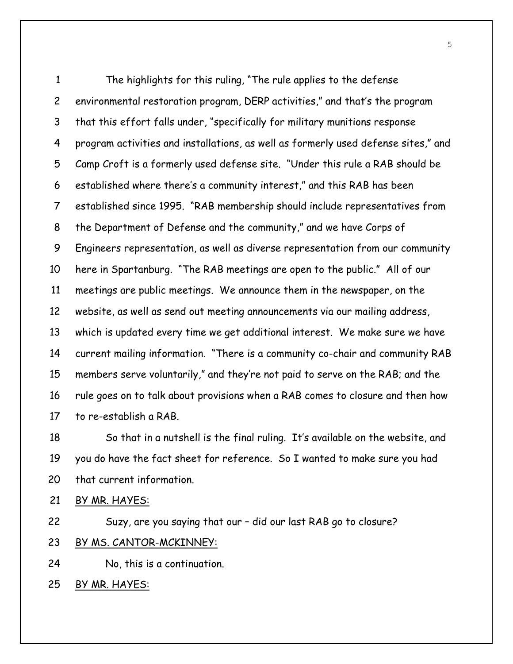1 The highlights for this ruling, "The rule applies to the defense 2 environmental restoration program, DERP activities," and that's the program 3 that this effort falls under, "specifically for military munitions response 4 program activities and installations, as well as formerly used defense sites," and 5 Camp Croft is a formerly used defense site. "Under this rule a RAB should be 6 established where there's a community interest," and this RAB has been 7 established since 1995. "RAB membership should include representatives from 8 the Department of Defense and the community," and we have Corps of 9 Engineers representation, as well as diverse representation from our community 10 here in Spartanburg. "The RAB meetings are open to the public." All of our 11 meetings are public meetings. We announce them in the newspaper, on the 12 website, as well as send out meeting announcements via our mailing address, 13 which is updated every time we get additional interest. We make sure we have 14 current mailing information. "There is a community co-chair and community RAB 15 members serve voluntarily," and they're not paid to serve on the RAB; and the 16 rule goes on to talk about provisions when a RAB comes to closure and then how 17 to re-establish a RAB.

18 So that in a nutshell is the final ruling. It's available on the website, and 19 you do have the fact sheet for reference. So I wanted to make sure you had 20 that current information.

21 BY MR. HAYES:

22 Suzy, are you saying that our – did our last RAB go to closure?

23 BY MS. CANTOR-MCKINNEY:

24 No, this is a continuation.

25 BY MR. HAYES:

5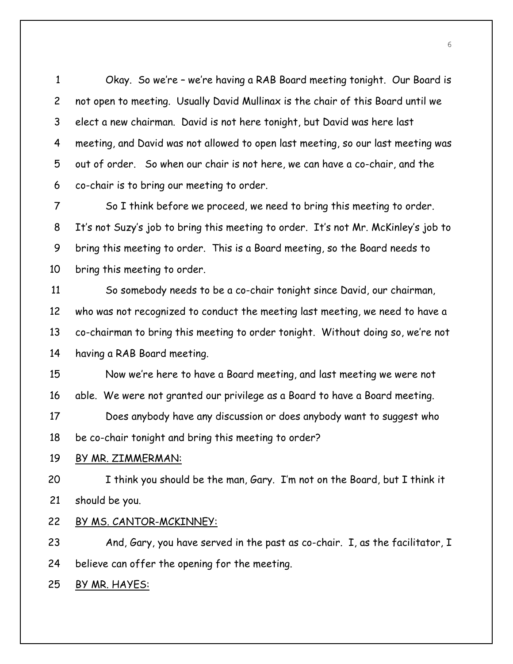1 Okay. So we're – we're having a RAB Board meeting tonight. Our Board is 2 not open to meeting. Usually David Mullinax is the chair of this Board until we 3 elect a new chairman. David is not here tonight, but David was here last 4 meeting, and David was not allowed to open last meeting, so our last meeting was 5 out of order. So when our chair is not here, we can have a co-chair, and the 6 co-chair is to bring our meeting to order.

7 So I think before we proceed, we need to bring this meeting to order. 8 It's not Suzy's job to bring this meeting to order. It's not Mr. McKinley's job to 9 bring this meeting to order. This is a Board meeting, so the Board needs to 10 bring this meeting to order.

11 So somebody needs to be a co-chair tonight since David, our chairman, 12 who was not recognized to conduct the meeting last meeting, we need to have a 13 co-chairman to bring this meeting to order tonight. Without doing so, we're not 14 having a RAB Board meeting.

15 Now we're here to have a Board meeting, and last meeting we were not 16 able. We were not granted our privilege as a Board to have a Board meeting. 17 Does anybody have any discussion or does anybody want to suggest who 18 be co-chair tonight and bring this meeting to order?

#### 19 BY MR. ZIMMERMAN:

20 I think you should be the man, Gary. I'm not on the Board, but I think it 21 should be you.

## 22 BY MS. CANTOR-MCKINNEY:

23 And, Gary, you have served in the past as co-chair. I, as the facilitator, I 24 believe can offer the opening for the meeting.

25 BY MR. HAYES: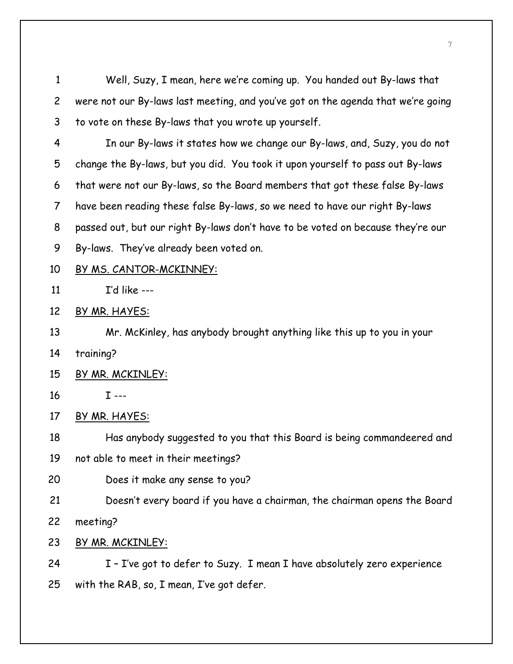1 Well, Suzy, I mean, here we're coming up. You handed out By-laws that 2 were not our By-laws last meeting, and you've got on the agenda that we're going 3 to vote on these By-laws that you wrote up yourself.

4 In our By-laws it states how we change our By-laws, and, Suzy, you do not 5 change the By-laws, but you did. You took it upon yourself to pass out By-laws 6 that were not our By-laws, so the Board members that got these false By-laws 7 have been reading these false By-laws, so we need to have our right By-laws 8 passed out, but our right By-laws don't have to be voted on because they're our 9 By-laws. They've already been voted on.

#### 10 BY MS. CANTOR-MCKINNEY:

11  $\Gamma$ 'd like ---

12 BY MR. HAYES:

13 Mr. McKinley, has anybody brought anything like this up to you in your

14 training?

15 BY MR. MCKINLEY:

16 I ---

17 BY MR. HAYES:

18 Has anybody suggested to you that this Board is being commandeered and

19 not able to meet in their meetings?

20 Does it make any sense to you?

21 Doesn't every board if you have a chairman, the chairman opens the Board

22 meeting?

23 BY MR. MCKINLEY:

24 I - I've got to defer to Suzy. I mean I have absolutely zero experience 25 with the RAB, so, I mean, I've got defer.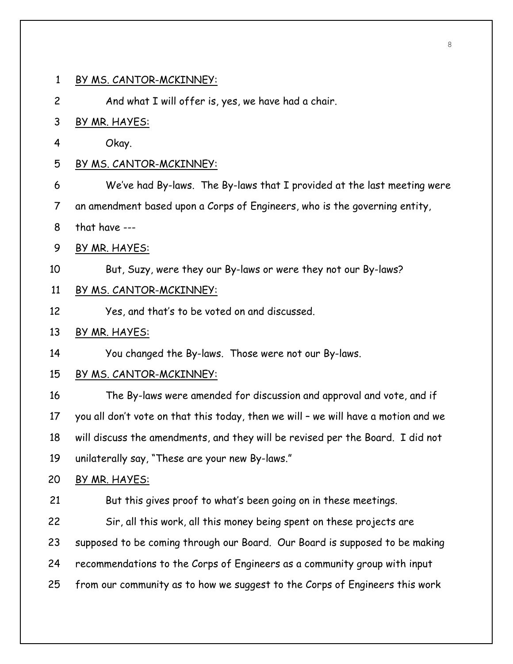2 And what I will offer is, yes, we have had a chair.

## 3 BY MR. HAYES:

4 Okay.

#### 5 BY MS. CANTOR-MCKINNEY:

6 We've had By-laws. The By-laws that I provided at the last meeting were

7 an amendment based upon a Corps of Engineers, who is the governing entity,

- 8 that have ---
- 9 BY MR. HAYES:
- 10 But, Suzy, were they our By-laws or were they not our By-laws?

## 11 BY MS. CANTOR-MCKINNEY:

12 Yes, and that's to be voted on and discussed.

## 13 BY MR. HAYES:

14 You changed the By-laws. Those were not our By-laws.

## 15 BY MS. CANTOR-MCKINNEY:

16 The By-laws were amended for discussion and approval and vote, and if 17 you all don't vote on that this today, then we will – we will have a motion and we 18 will discuss the amendments, and they will be revised per the Board. I did not 19 unilaterally say, "These are your new By-laws."

## 20 BY MR. HAYES:

21 But this gives proof to what's been going on in these meetings. 22 Sir, all this work, all this money being spent on these projects are 23 supposed to be coming through our Board. Our Board is supposed to be making 24 recommendations to the Corps of Engineers as a community group with input 25 from our community as to how we suggest to the Corps of Engineers this work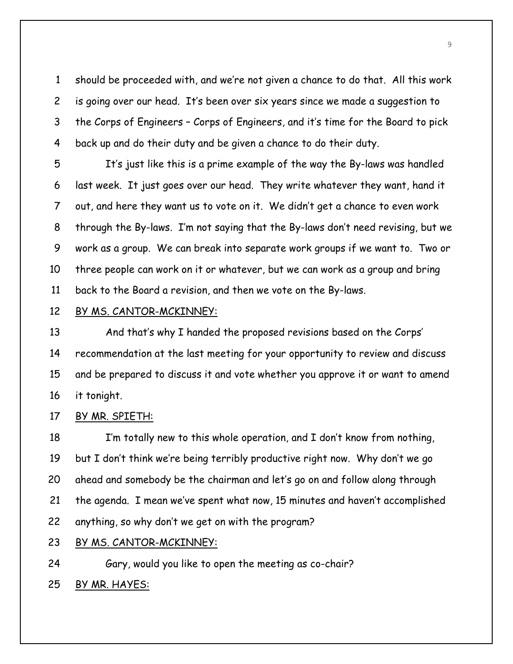1 should be proceeded with, and we're not given a chance to do that. All this work 2 is going over our head. It's been over six years since we made a suggestion to 3 the Corps of Engineers – Corps of Engineers, and it's time for the Board to pick 4 back up and do their duty and be given a chance to do their duty.

5 It's just like this is a prime example of the way the By-laws was handled 6 last week. It just goes over our head. They write whatever they want, hand it 7 out, and here they want us to vote on it. We didn't get a chance to even work 8 through the By-laws. I'm not saying that the By-laws don't need revising, but we 9 work as a group. We can break into separate work groups if we want to. Two or 10 three people can work on it or whatever, but we can work as a group and bring 11 back to the Board a revision, and then we vote on the By-laws.

## 12 BY MS. CANTOR-MCKINNEY:

13 And that's why I handed the proposed revisions based on the Corps' 14 recommendation at the last meeting for your opportunity to review and discuss 15 and be prepared to discuss it and vote whether you approve it or want to amend 16 it tonight.

## 17 BY MR. SPIETH:

18 I'm totally new to this whole operation, and I don't know from nothing, 19 but I don't think we're being terribly productive right now. Why don't we go 20 ahead and somebody be the chairman and let's go on and follow along through 21 the agenda. I mean we've spent what now, 15 minutes and haven't accomplished 22 anything, so why don't we get on with the program?

# 23 BY MS. CANTOR-MCKINNEY:

24 Gary, would you like to open the meeting as co-chair?

25 BY MR. HAYES: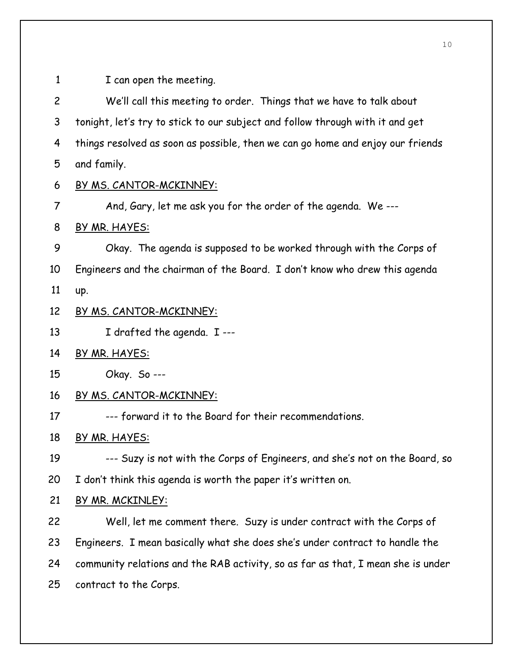1 I can open the meeting.

2 We'll call this meeting to order. Things that we have to talk about 3 tonight, let's try to stick to our subject and follow through with it and get 4 things resolved as soon as possible, then we can go home and enjoy our friends 5 and family.

- 6 BY MS. CANTOR-MCKINNEY:
- 7 And, Gary, let me ask you for the order of the agenda. We ---
- 8 BY MR. HAYES:

9 Okay. The agenda is supposed to be worked through with the Corps of 10 Engineers and the chairman of the Board. I don't know who drew this agenda

11 up.

## 12 BY MS. CANTOR-MCKINNEY:

13 I drafted the agenda. I ---

- 14 BY MR. HAYES:
- 15 Okay. So ---

## 16 BY MS. CANTOR-MCKINNEY:

17 --- forward it to the Board for their recommendations.

18 BY MR. HAYES:

19 --- Suzy is not with the Corps of Engineers, and she's not on the Board, so

20 I don't think this agenda is worth the paper it's written on.

# 21 BY MR. MCKINLEY:

22 Well, let me comment there. Suzy is under contract with the Corps of 23 Engineers. I mean basically what she does she's under contract to handle the 24 community relations and the RAB activity, so as far as that, I mean she is under 25 contract to the Corps.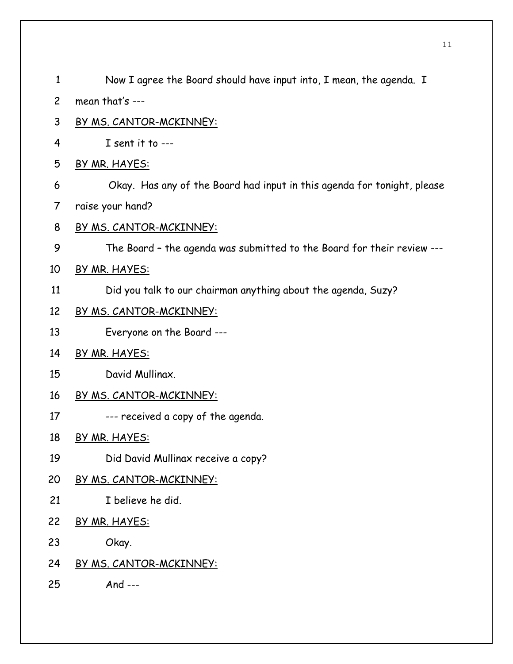| 1              | Now I agree the Board should have input into, I mean, the agenda. I     |
|----------------|-------------------------------------------------------------------------|
| $\overline{c}$ | mean that's ---                                                         |
| 3              | <u>BY MS. CANTOR-MCKINNEY:</u>                                          |
| 4              | I sent it to ---                                                        |
| 5              | BY MR. HAYES:                                                           |
| 6              | Okay. Has any of the Board had input in this agenda for tonight, please |
| 7              | raise your hand?                                                        |
| 8              | <u>BY MS. CANTOR-MCKINNEY:</u>                                          |
| 9              | The Board - the agenda was submitted to the Board for their review ---  |
| 10             | BY MR. HAYES:                                                           |
| 11             | Did you talk to our chairman anything about the agenda, Suzy?           |
| 12             | BY MS. CANTOR-MCKINNEY:                                                 |
| 13             | Everyone on the Board ---                                               |
| 14             | BY MR. HAYES:                                                           |
| 15             | David Mullinax.                                                         |
| 16             | <u>BY MS. CANTOR-MCKINNEY:</u>                                          |
| 17             | --- received a copy of the agenda.                                      |
| 18             | BY MR. HAYES:                                                           |
| 19             | Did David Mullinax receive a copy?                                      |
| 20             | BY MS. CANTOR-MCKINNEY:                                                 |
| 21             | I believe he did.                                                       |
| 22             | BY MR. HAYES:                                                           |
| 23             | Okay.                                                                   |
| 24             | <u>BY MS. CANTOR-MCKINNEY:</u>                                          |
| 25             | And $---$                                                               |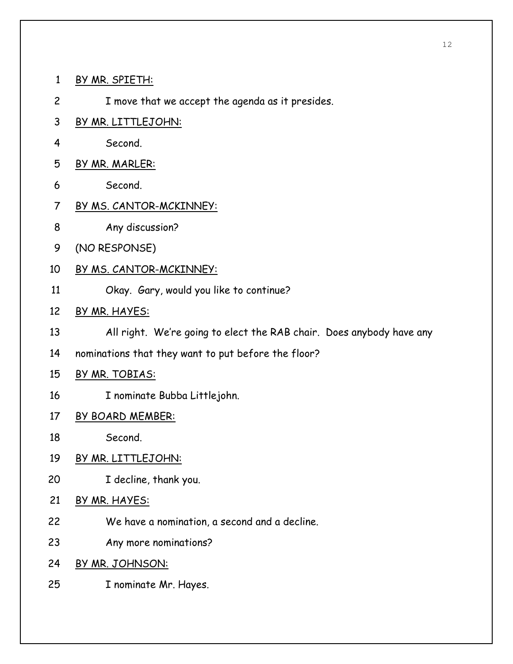- 1 BY MR. SPIETH:
- 2 I move that we accept the agenda as it presides.
- 3 BY MR. LITTLEJOHN:
- 4 Second.
- 5 BY MR. MARLER:
- 6 Second.
- 7 BY MS. CANTOR-MCKINNEY:
- 8 Any discussion?
- 9 (NO RESPONSE)
- 10 BY MS. CANTOR-MCKINNEY:
- 11 Okay. Gary, would you like to continue?
- 12 BY MR. HAYES:
- 13 All right. We're going to elect the RAB chair. Does anybody have any
- 14 nominations that they want to put before the floor?
- 15 BY MR. TOBIAS:
- 16 I nominate Bubba Littlejohn.
- 17 BY BOARD MEMBER:
- 18 Second.
- 19 BY MR. LITTLEJOHN:
- 20 I decline, thank you.
- 21 BY MR. HAYES:
- 22 We have a nomination, a second and a decline.
- 23 Any more nominations?
- 24 BY MR. JOHNSON:
- 25 I nominate Mr. Hayes.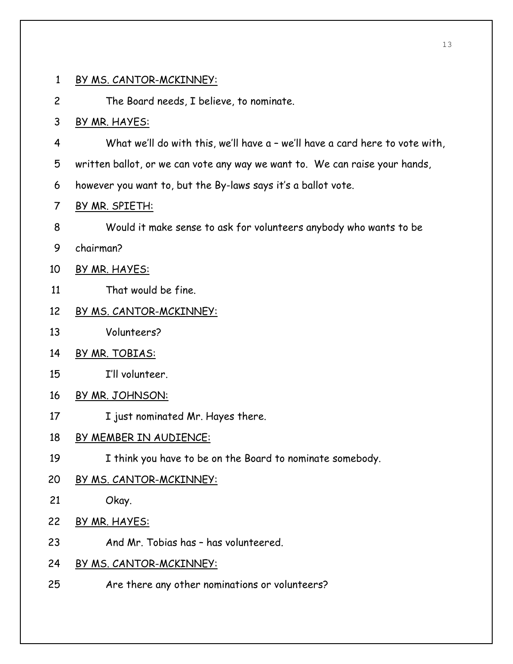2 The Board needs, I believe, to nominate.

## 3 BY MR. HAYES:

- 4 What we'll do with this, we'll have a we'll have a card here to vote with,
- 5 written ballot, or we can vote any way we want to. We can raise your hands,
- 6 however you want to, but the By-laws says it's a ballot vote.
- 7 BY MR. SPIETH:
- 8 Would it make sense to ask for volunteers anybody who wants to be
- 9 chairman?
- 10 BY MR. HAYES:
- 11 That would be fine.
- 12 BY MS. CANTOR-MCKINNEY:
- 13 Volunteers?
- 14 BY MR. TOBIAS:
- 15 I'll volunteer.
- 16 BY MR. JOHNSON:
- 17 I just nominated Mr. Hayes there.
- 18 BY MEMBER IN AUDIENCE:
- 19 I think you have to be on the Board to nominate somebody.
- 20 BY MS. CANTOR-MCKINNEY:
- 21 Okay.
- 22 BY MR. HAYES:
- 23 And Mr. Tobias has has volunteered.
- 24 BY MS. CANTOR-MCKINNEY:
- 25 Are there any other nominations or volunteers?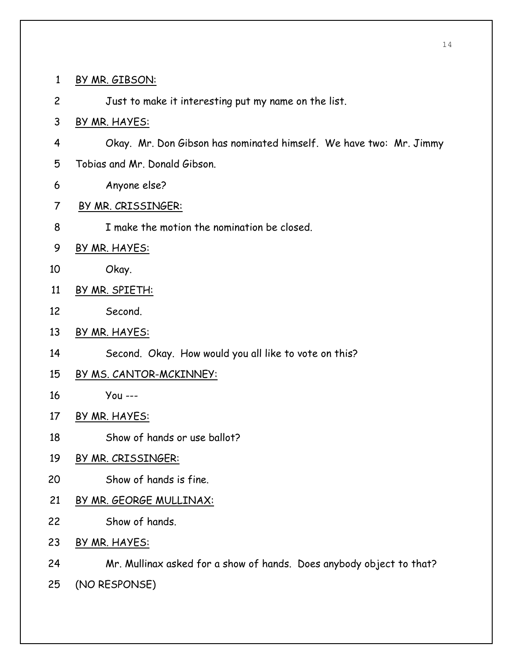- 1 BY MR. GIBSON:
- 2 Just to make it interesting put my name on the list.
- 3 BY MR. HAYES:
- 4 Okay. Mr. Don Gibson has nominated himself. We have two: Mr. Jimmy
- 5 Tobias and Mr. Donald Gibson.
- 6 Anyone else?
- 7 BY MR. CRISSINGER:
- 8 I make the motion the nomination be closed.
- 9 BY MR. HAYES:
- 10 Okay.
- 11 BY MR. SPIETH:
- 12 Second.
- 13 BY MR. HAYES:
- 14 Second. Okay. How would you all like to vote on this?
- 15 BY MS. CANTOR-MCKINNEY:
- 16 You ---
- 17 BY MR. HAYES:
- 18 Show of hands or use ballot?
- 19 BY MR. CRISSINGER:
- 20 Show of hands is fine.
- 21 BY MR. GEORGE MULLINAX:
- 22 Show of hands.
- 23 BY MR. HAYES:
- 24 Mr. Mullinax asked for a show of hands. Does anybody object to that?
- 25 (NO RESPONSE)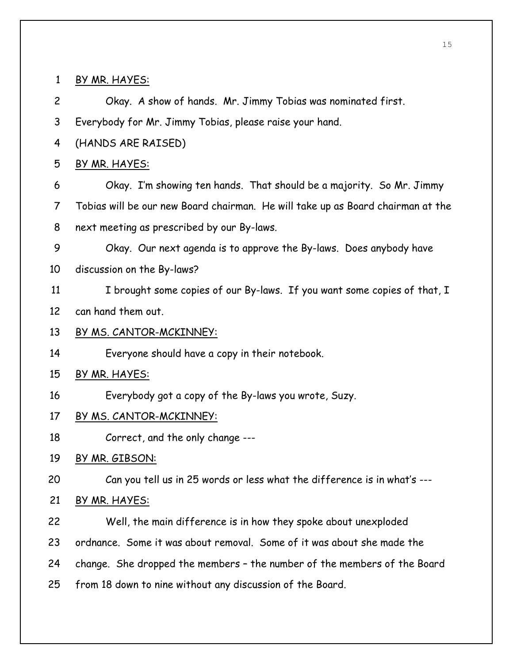1 BY MR. HAYES: 2 Okay. A show of hands. Mr. Jimmy Tobias was nominated first. 3 Everybody for Mr. Jimmy Tobias, please raise your hand. 4 (HANDS ARE RAISED) 5 BY MR. HAYES: 6 Okay. I'm showing ten hands. That should be a majority. So Mr. Jimmy 7 Tobias will be our new Board chairman. He will take up as Board chairman at the 8 next meeting as prescribed by our By-laws. 9 Okay. Our next agenda is to approve the By-laws. Does anybody have 10 discussion on the By-laws? 11 I brought some copies of our By-laws. If you want some copies of that, I 12 can hand them out. 13 BY MS. CANTOR-MCKINNEY: 14 Everyone should have a copy in their notebook. 15 BY MR. HAYES: 16 Everybody got a copy of the By-laws you wrote, Suzy. 17 BY MS. CANTOR-MCKINNEY: 18 Correct, and the only change --- 19 BY MR. GIBSON: 20 Can you tell us in 25 words or less what the difference is in what's --- 21 BY MR. HAYES: 22 Well, the main difference is in how they spoke about unexploded 23 ordnance. Some it was about removal. Some of it was about she made the 24 change. She dropped the members – the number of the members of the Board 25 from 18 down to nine without any discussion of the Board.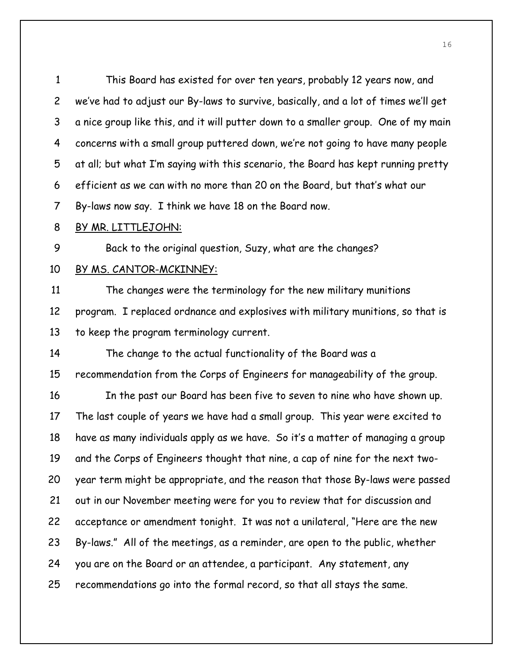1 This Board has existed for over ten years, probably 12 years now, and 2 we've had to adjust our By-laws to survive, basically, and a lot of times we'll get 3 a nice group like this, and it will putter down to a smaller group. One of my main 4 concerns with a small group puttered down, we're not going to have many people 5 at all; but what I'm saying with this scenario, the Board has kept running pretty 6 efficient as we can with no more than 20 on the Board, but that's what our 7 By-laws now say. I think we have 18 on the Board now.

#### 8 BY MR. LITTLEJOHN:

9 Back to the original question, Suzy, what are the changes?

#### 10 BY MS. CANTOR-MCKINNEY:

11 The changes were the terminology for the new military munitions 12 program. I replaced ordnance and explosives with military munitions, so that is 13 to keep the program terminology current.

14 The change to the actual functionality of the Board was a

15 recommendation from the Corps of Engineers for manageability of the group.

16 In the past our Board has been five to seven to nine who have shown up. 17 The last couple of years we have had a small group. This year were excited to 18 have as many individuals apply as we have. So it's a matter of managing a group 19 and the Corps of Engineers thought that nine, a cap of nine for the next two-20 year term might be appropriate, and the reason that those By-laws were passed 21 out in our November meeting were for you to review that for discussion and 22 acceptance or amendment tonight. It was not a unilateral, "Here are the new 23 By-laws." All of the meetings, as a reminder, are open to the public, whether 24 you are on the Board or an attendee, a participant. Any statement, any 25 recommendations go into the formal record, so that all stays the same.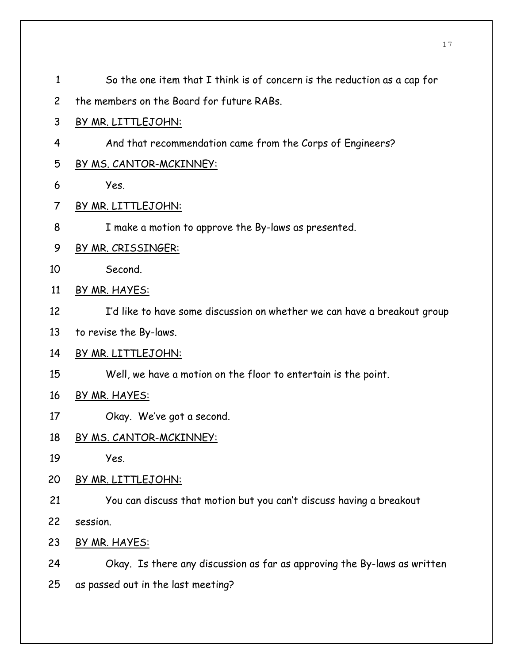1 So the one item that I think is of concern is the reduction as a cap for 2 the members on the Board for future RABs. 3 BY MR. LITTLEJOHN: 4 And that recommendation came from the Corps of Engineers? 5 BY MS. CANTOR-MCKINNEY: 6 Yes. 7 BY MR. LITTLEJOHN: 8 I make a motion to approve the By-laws as presented. 9 BY MR. CRISSINGER: 10 Second. 11 BY MR. HAYES: 12 I'd like to have some discussion on whether we can have a breakout group 13 to revise the By-laws. 14 BY MR. LITTLEJOHN: 15 Well, we have a motion on the floor to entertain is the point. 16 BY MR. HAYES: 17 Okay. We've got a second. 18 BY MS. CANTOR-MCKINNEY: 19 Yes. 20 BY MR. LITTLEJOHN: 21 You can discuss that motion but you can't discuss having a breakout 22 session. 23 BY MR. HAYES: 24 Okay. Is there any discussion as far as approving the By-laws as written 25 as passed out in the last meeting?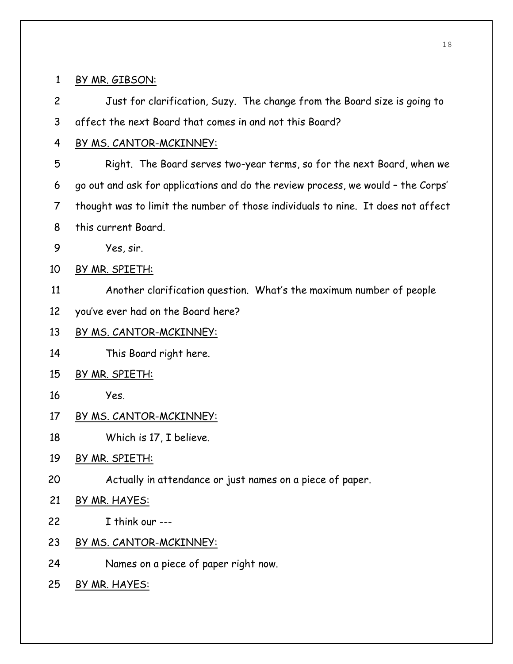## 1 BY MR. GIBSON:

2 Just for clarification, Suzy. The change from the Board size is going to 3 affect the next Board that comes in and not this Board?

# 4 BY MS. CANTOR-MCKINNEY:

- 5 Right. The Board serves two-year terms, so for the next Board, when we 6 go out and ask for applications and do the review process, we would – the Corps' 7 thought was to limit the number of those individuals to nine. It does not affect 8 this current Board.
- 9 Yes, sir.
- 10 BY MR. SPIETH:
- 11 Another clarification question. What's the maximum number of people
- 12 you've ever had on the Board here?

# 13 BY MS. CANTOR-MCKINNEY:

- 14 This Board right here.
- 15 BY MR. SPIETH:
- 16 Yes.
- 17 BY MS. CANTOR-MCKINNEY:
- 18 Which is 17, I believe.
- 19 BY MR. SPIETH:
- 20 Actually in attendance or just names on a piece of paper.
- 21 BY MR. HAYES:
- 22 I think our ---
- 23 BY MS. CANTOR-MCKINNEY:
- 24 Names on a piece of paper right now.
- 25 BY MR. HAYES: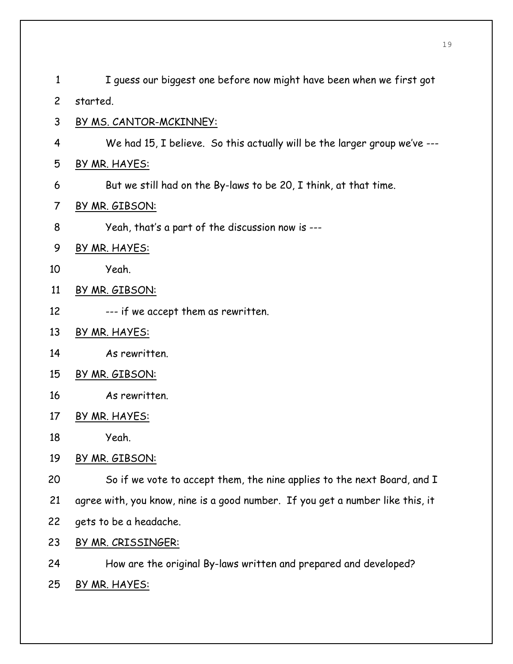| $\mathbf{1}$   | I guess our biggest one before now might have been when we first got           |
|----------------|--------------------------------------------------------------------------------|
| $\overline{2}$ | started.                                                                       |
| 3              | <u>BY MS. CANTOR-MCKINNEY:</u>                                                 |
| 4              | We had 15, I believe. So this actually will be the larger group we've ---      |
| 5              | BY MR. HAYES:                                                                  |
| 6              | But we still had on the By-laws to be 20, I think, at that time.               |
| 7              | BY MR. GIBSON:                                                                 |
| 8              | Yeah, that's a part of the discussion now is ---                               |
| 9              | BY MR. HAYES:                                                                  |
| 10             | Yeah.                                                                          |
| 11             | BY MR. GIBSON:                                                                 |
| 12             | --- if we accept them as rewritten.                                            |
| 13             | BY MR. HAYES:                                                                  |
| 14             | As rewritten.                                                                  |
| 15             | BY MR. GIBSON:                                                                 |
| 16             | As rewritten.                                                                  |
| 17             | BY MR. HAYES:                                                                  |
| 18             | Yeah.                                                                          |
| 19             | BY MR. GIBSON:                                                                 |
| 20             | So if we vote to accept them, the nine applies to the next Board, and I        |
| 21             | agree with, you know, nine is a good number. If you get a number like this, it |
| 22             | gets to be a headache.                                                         |
| 23             | BY MR. CRISSINGER:                                                             |
| 24             | How are the original By-laws written and prepared and developed?               |
| 25             | <u>BY MR. HAYES:</u>                                                           |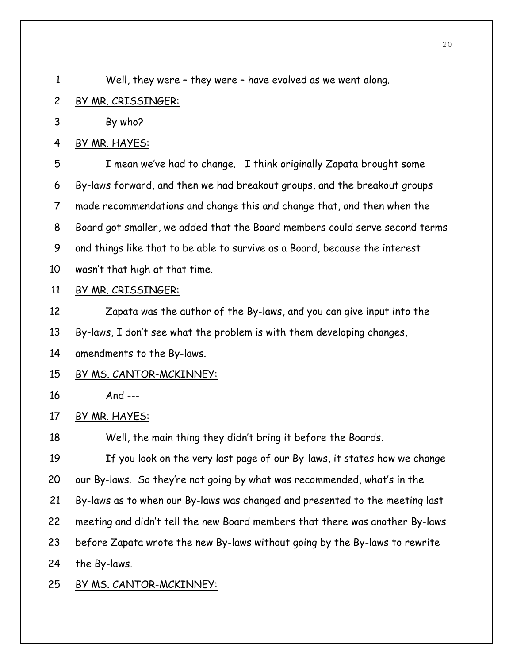1 Well, they were – they were – have evolved as we went along.

## 2 BY MR. CRISSINGER:

3 By who?

## 4 BY MR. HAYES:

5 I mean we've had to change. I think originally Zapata brought some 6 By-laws forward, and then we had breakout groups, and the breakout groups 7 made recommendations and change this and change that, and then when the 8 Board got smaller, we added that the Board members could serve second terms 9 and things like that to be able to survive as a Board, because the interest 10 wasn't that high at that time.

## 11 BY MR. CRISSINGER:

12 Zapata was the author of the By-laws, and you can give input into the 13 By-laws, I don't see what the problem is with them developing changes, 14 amendments to the By-laws.

## 15 BY MS. CANTOR-MCKINNEY:

16 And ---

## 17 BY MR. HAYES:

18 Well, the main thing they didn't bring it before the Boards.

19 If you look on the very last page of our By-laws, it states how we change 20 our By-laws. So they're not going by what was recommended, what's in the 21 By-laws as to when our By-laws was changed and presented to the meeting last 22 meeting and didn't tell the new Board members that there was another By-laws 23 before Zapata wrote the new By-laws without going by the By-laws to rewrite 24 the By-laws.

# 25 BY MS. CANTOR-MCKINNEY: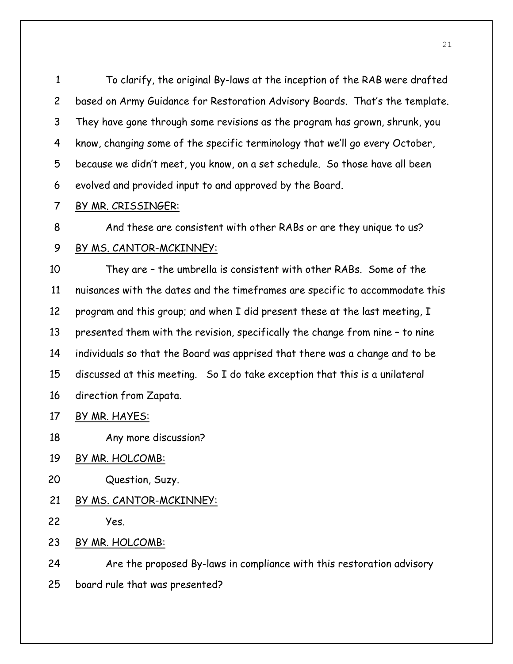1 To clarify, the original By-laws at the inception of the RAB were drafted 2 based on Army Guidance for Restoration Advisory Boards. That's the template. 3 They have gone through some revisions as the program has grown, shrunk, you 4 know, changing some of the specific terminology that we'll go every October, 5 because we didn't meet, you know, on a set schedule. So those have all been 6 evolved and provided input to and approved by the Board.

7 BY MR. CRISSINGER:

8 And these are consistent with other RABs or are they unique to us?

## 9 BY MS. CANTOR-MCKINNEY:

10 They are – the umbrella is consistent with other RABs. Some of the 11 nuisances with the dates and the timeframes are specific to accommodate this 12 program and this group; and when I did present these at the last meeting, I 13 presented them with the revision, specifically the change from nine – to nine 14 individuals so that the Board was apprised that there was a change and to be 15 discussed at this meeting. So I do take exception that this is a unilateral 16 direction from Zapata.

17 BY MR. HAYES:

18 Any more discussion?

- 19 BY MR. HOLCOMB:
- 20 Question, Suzy.

## 21 BY MS. CANTOR-MCKINNEY:

22 Yes.

23 BY MR. HOLCOMB:

24 Are the proposed By-laws in compliance with this restoration advisory

25 board rule that was presented?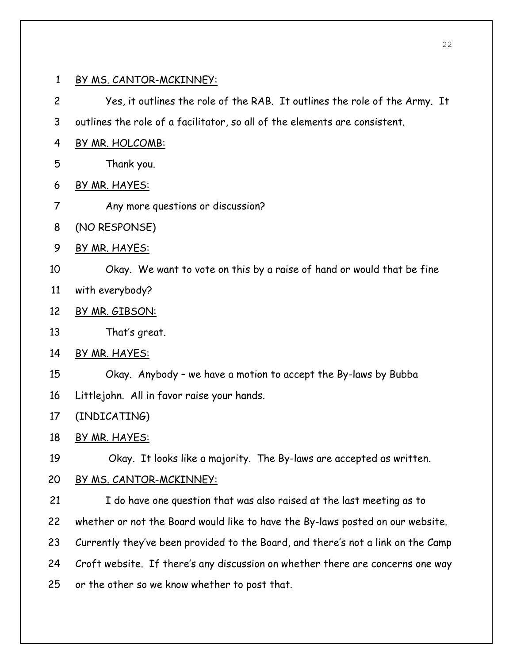2 Yes, it outlines the role of the RAB. It outlines the role of the Army. It

3 outlines the role of a facilitator, so all of the elements are consistent.

- 4 BY MR. HOLCOMB:
- 5 Thank you.
- 6 BY MR. HAYES:
- 7 Any more questions or discussion?
- 8 (NO RESPONSE)
- 9 BY MR. HAYES:

10 Okay. We want to vote on this by a raise of hand or would that be fine

- 11 with everybody?
- 12 BY MR. GIBSON:
- 13 That's great.
- 14 BY MR. HAYES:
- 15 Okay. Anybody we have a motion to accept the By-laws by Bubba
- 16 Littlejohn. All in favor raise your hands.
- 17 (INDICATING)
- 18 BY MR. HAYES:

19 Okay. It looks like a majority. The By-laws are accepted as written.

- 20 BY MS. CANTOR-MCKINNEY:
- 21 I do have one question that was also raised at the last meeting as to 22 whether or not the Board would like to have the By-laws posted on our website. 23 Currently they've been provided to the Board, and there's not a link on the Camp 24 Croft website. If there's any discussion on whether there are concerns one way 25 or the other so we know whether to post that.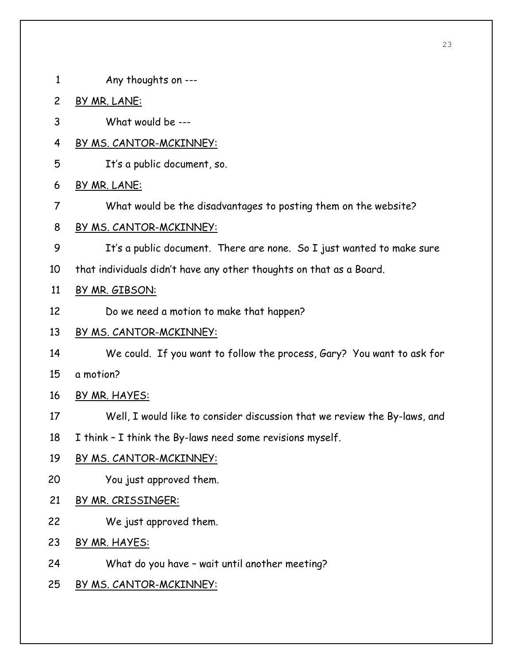- 1 Any thoughts on ---
- 2 BY MR. LANE:
- 3 What would be ---
- 4 BY MS. CANTOR-MCKINNEY:
- 5 It's a public document, so.
- 6 BY MR. LANE:
- 7 What would be the disadvantages to posting them on the website?
- 8 BY MS. CANTOR-MCKINNEY:
- 9 It's a public document. There are none. So I just wanted to make sure
- 10 that individuals didn't have any other thoughts on that as a Board.

# 11 BY MR. GIBSON:

12 Do we need a motion to make that happen?

# 13 BY MS. CANTOR-MCKINNEY:

- 14 We could. If you want to follow the process, Gary? You want to ask for
- 15 a motion?
- 16 BY MR. HAYES:
- 17 Well, I would like to consider discussion that we review the By-laws, and
- 18 I think I think the By-laws need some revisions myself.
- 19 BY MS. CANTOR-MCKINNEY:
- 20 You just approved them.
- 21 BY MR. CRISSINGER:
- 22 We just approved them.
- 23 BY MR. HAYES:
- 24 What do you have wait until another meeting?
- 25 BY MS. CANTOR-MCKINNEY: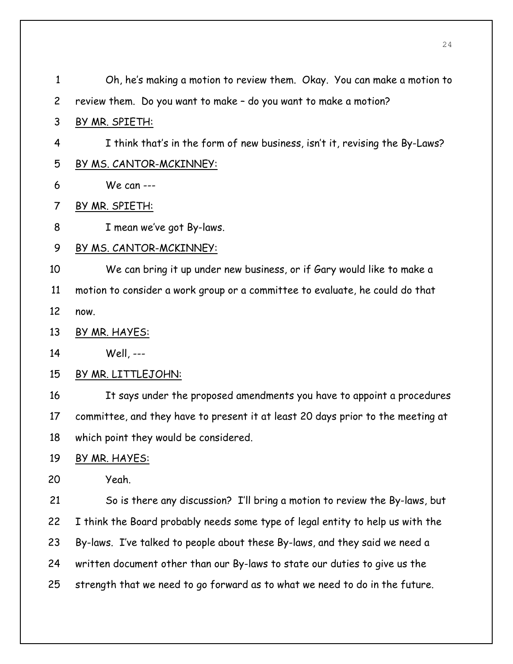| $\mathbf{1}$   | Oh, he's making a motion to review them. Okay. You can make a motion to         |
|----------------|---------------------------------------------------------------------------------|
| $\overline{c}$ | review them. Do you want to make - do you want to make a motion?                |
| 3              | BY MR. SPIETH:                                                                  |
| 4              | I think that's in the form of new business, isn't it, revising the By-Laws?     |
| 5              | <u>BY MS. CANTOR-MCKINNEY:</u>                                                  |
| 6              | We can $---$                                                                    |
| 7              | BY MR. SPIETH:                                                                  |
| 8              | I mean we've got By-laws.                                                       |
| 9              | BY MS. CANTOR-MCKINNEY:                                                         |
| 10             | We can bring it up under new business, or if Gary would like to make a          |
| 11             | motion to consider a work group or a committee to evaluate, he could do that    |
| 12             | now.                                                                            |
| 13             | BY MR. HAYES:                                                                   |
| 14             | Well, ---                                                                       |
| 15             | <u>BY MR. LITTLEJOHN:</u>                                                       |
| 16             | It says under the proposed amendments you have to appoint a procedures          |
| 17             | committee, and they have to present it at least 20 days prior to the meeting at |
| 18             | which point they would be considered.                                           |
| 19             | BY MR. HAYES:                                                                   |
| 20             | Yeah.                                                                           |
| 21             | So is there any discussion? I'll bring a motion to review the By-laws, but      |
| 22             | I think the Board probably needs some type of legal entity to help us with the  |
| 23             | By-laws. I've talked to people about these By-laws, and they said we need a     |
| 24             | written document other than our By-laws to state our duties to give us the      |
| 25             | strength that we need to go forward as to what we need to do in the future.     |
|                |                                                                                 |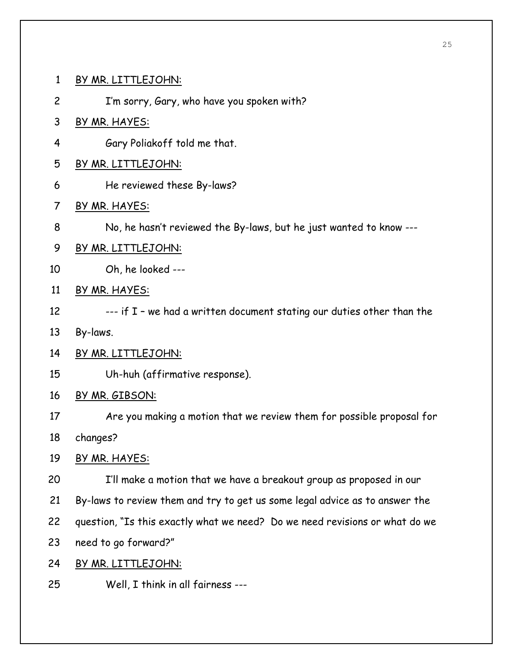1 BY MR. LITTLEJOHN:

2 I'm sorry, Gary, who have you spoken with?

- 3 BY MR. HAYES:
- 4 Gary Poliakoff told me that.
- 5 BY MR. LITTLEJOHN:
- 6 He reviewed these By-laws?
- 7 BY MR. HAYES:
- 8 No, he hasn't reviewed the By-laws, but he just wanted to know ---
- 9 BY MR. LITTLEJOHN:
- 10 Oh, he looked ---
- 11 BY MR. HAYES:
- 12 --- if I we had a written document stating our duties other than the
- 13 By-laws.
- 14 BY MR. LITTLEJOHN:
- 15 Uh-huh (affirmative response).
- 16 BY MR. GIBSON:
- 17 Are you making a motion that we review them for possible proposal for 18 changes?
- 19 BY MR. HAYES:
- 20 I'll make a motion that we have a breakout group as proposed in our
- 21 By-laws to review them and try to get us some legal advice as to answer the
- 22 question, "Is this exactly what we need? Do we need revisions or what do we
- 23 need to go forward?"
- 24 BY MR. LITTLEJOHN:
- 25 Well, I think in all fairness ---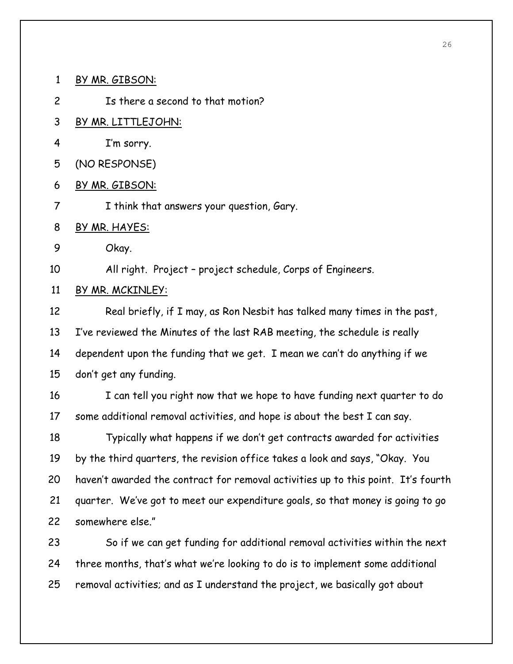1 BY MR. GIBSON:

2 Is there a second to that motion?

- 3 BY MR. LITTLEJOHN:
- 4 I'm sorry.
- 5 (NO RESPONSE)
- 6 BY MR. GIBSON:
- 7 I think that answers your question, Gary.
- 8 BY MR. HAYES:
- 9 Okay.

10 All right. Project – project schedule, Corps of Engineers.

## 11 BY MR. MCKINLEY:

12 Real briefly, if I may, as Ron Nesbit has talked many times in the past, 13 I've reviewed the Minutes of the last RAB meeting, the schedule is really 14 dependent upon the funding that we get. I mean we can't do anything if we 15 don't get any funding.

16 I can tell you right now that we hope to have funding next quarter to do 17 some additional removal activities, and hope is about the best I can say.

18 Typically what happens if we don't get contracts awarded for activities 19 by the third quarters, the revision office takes a look and says, "Okay. You 20 haven't awarded the contract for removal activities up to this point. It's fourth 21 quarter. We've got to meet our expenditure goals, so that money is going to go 22 somewhere else."

23 So if we can get funding for additional removal activities within the next 24 three months, that's what we're looking to do is to implement some additional 25 removal activities; and as I understand the project, we basically got about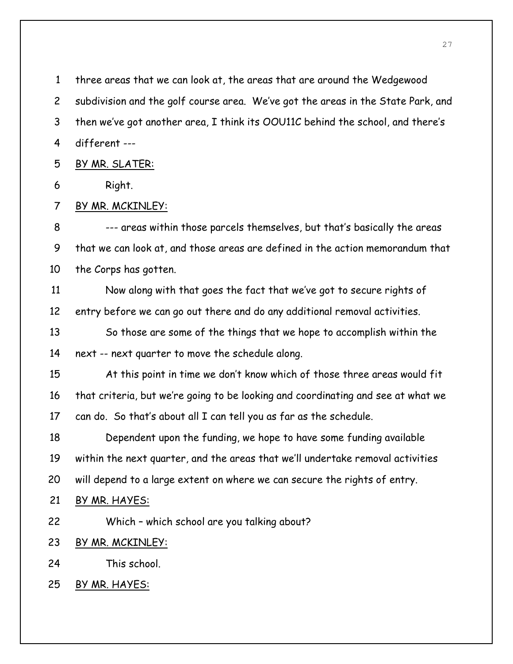1 three areas that we can look at, the areas that are around the Wedgewood 2 subdivision and the golf course area. We've got the areas in the State Park, and 3 then we've got another area, I think its OOU11C behind the school, and there's 4 different --- 5 BY MR. SLATER: 6 Right. 7 BY MR. MCKINLEY: 8 --- areas within those parcels themselves, but that's basically the areas 9 that we can look at, and those areas are defined in the action memorandum that 10 the Corps has gotten. 11 Now along with that goes the fact that we've got to secure rights of 12 entry before we can go out there and do any additional removal activities. 13 So those are some of the things that we hope to accomplish within the 14 next -- next quarter to move the schedule along. 15 At this point in time we don't know which of those three areas would fit 16 that criteria, but we're going to be looking and coordinating and see at what we 17 can do. So that's about all I can tell you as far as the schedule. 18 Dependent upon the funding, we hope to have some funding available 19 within the next quarter, and the areas that we'll undertake removal activities 20 will depend to a large extent on where we can secure the rights of entry. 21 BY MR. HAYES: 22 Which – which school are you talking about? 23 BY MR. MCKINLEY: 24 This school. 25 BY MR. HAYES: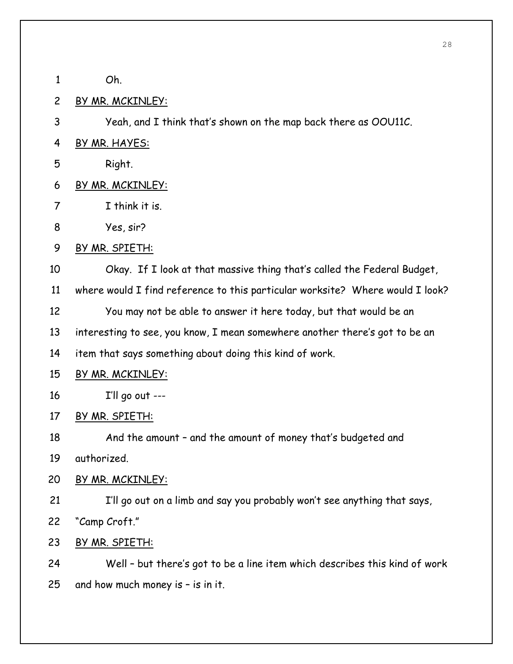1 Oh. 2 BY MR. MCKINLEY: 3 Yeah, and I think that's shown on the map back there as OOU11C. 4 BY MR. HAYES: 5 Right. 6 BY MR. MCKINLEY: 7 I think it is. 8 Yes, sir? 9 BY MR. SPIETH: 10 Okay. If I look at that massive thing that's called the Federal Budget, 11 where would I find reference to this particular worksite? Where would I look? 12 You may not be able to answer it here today, but that would be an 13 interesting to see, you know, I mean somewhere another there's got to be an 14 item that says something about doing this kind of work. 15 BY MR. MCKINLEY: 16 I'll go out --- 17 BY MR. SPIETH: 18 And the amount – and the amount of money that's budgeted and 19 authorized. 20 BY MR. MCKINLEY: 21 I'll go out on a limb and say you probably won't see anything that says, 22 "Camp Croft." 23 BY MR. SPIETH: 24 Well – but there's got to be a line item which describes this kind of work 25 and how much money is – is in it.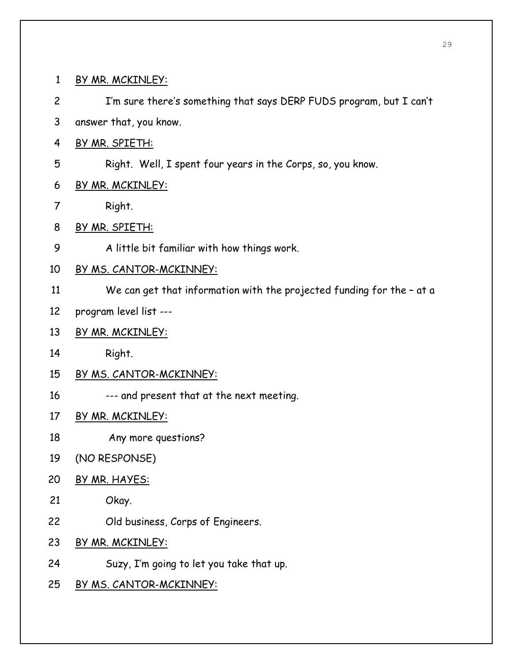1 BY MR. MCKINLEY: 2 I'm sure there's something that says DERP FUDS program, but I can't 3 answer that, you know. 4 BY MR. SPIETH: 5 Right. Well, I spent four years in the Corps, so, you know. 6 BY MR. MCKINLEY: 7 Right. 8 BY MR. SPIETH: 9 A little bit familiar with how things work. 10 BY MS. CANTOR-MCKINNEY: 11 We can get that information with the projected funding for the – at a 12 program level list --- 13 BY MR. MCKINLEY: 14 Right. 15 BY MS. CANTOR-MCKINNEY: 16 --- and present that at the next meeting. 17 BY MR. MCKINLEY: 18 Any more questions? 19 (NO RESPONSE) 20 BY MR. HAYES: 21 Okay. 22 Old business, Corps of Engineers. 23 BY MR. MCKINLEY: 24 Suzy, I'm going to let you take that up. 25 BY MS. CANTOR-MCKINNEY: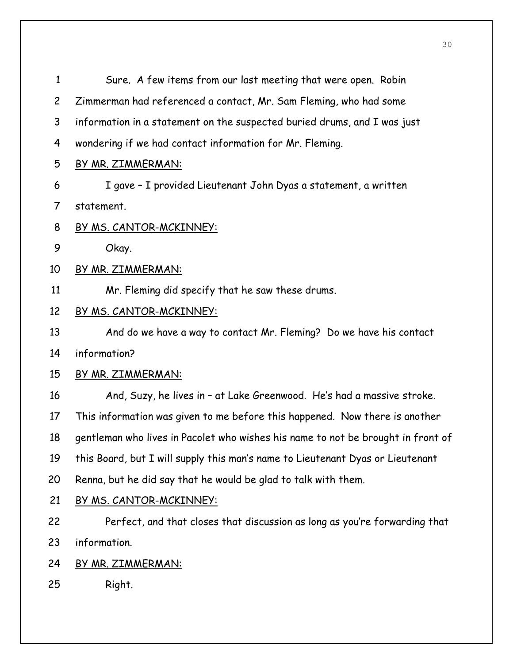| $\mathbf{1}$   | Sure. A few items from our last meeting that were open. Robin                    |
|----------------|----------------------------------------------------------------------------------|
| $\overline{c}$ | Zimmerman had referenced a contact, Mr. Sam Fleming, who had some                |
| 3              | information in a statement on the suspected buried drums, and I was just         |
| 4              | wondering if we had contact information for Mr. Fleming.                         |
| 5              | <u>BY MR. ZIMMERMAN:</u>                                                         |
| 6              | I gave - I provided Lieutenant John Dyas a statement, a written                  |
| 7              | statement.                                                                       |
| 8              | <u>BY MS. CANTOR-MCKINNEY:</u>                                                   |
| 9              | Okay.                                                                            |
| 10             | <u>BY MR. ZIMMERMAN:</u>                                                         |
| 11             | Mr. Fleming did specify that he saw these drums.                                 |
| 12             | BY MS. CANTOR-MCKINNEY:                                                          |
| 13             | And do we have a way to contact Mr. Fleming? Do we have his contact              |
| 14             | information?                                                                     |
| 15             | <u>BY MR. ZIMMERMAN:</u>                                                         |
| 16             | And, Suzy, he lives in - at Lake Greenwood. He's had a massive stroke.           |
| 17             | This information was given to me before this happened. Now there is another      |
| 18             | gentleman who lives in Pacolet who wishes his name to not be brought in front of |
| 19             | this Board, but I will supply this man's name to Lieutenant Dyas or Lieutenant   |
| 20             | Renna, but he did say that he would be glad to talk with them.                   |
| 21             | BY MS. CANTOR-MCKINNEY:                                                          |
| 22             | Perfect, and that closes that discussion as long as you're forwarding that       |
| 23             | information.                                                                     |
| 24             | BY MR. ZIMMERMAN:                                                                |
| 25             | Right.                                                                           |
|                |                                                                                  |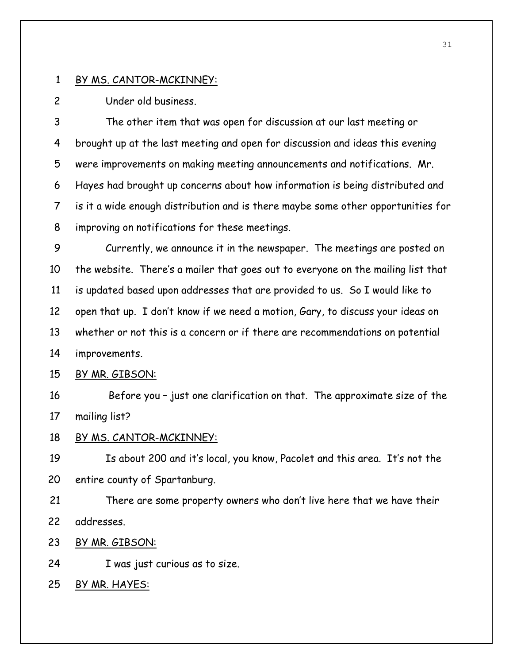2 Under old business.

3 The other item that was open for discussion at our last meeting or 4 brought up at the last meeting and open for discussion and ideas this evening 5 were improvements on making meeting announcements and notifications. Mr. 6 Hayes had brought up concerns about how information is being distributed and 7 is it a wide enough distribution and is there maybe some other opportunities for 8 improving on notifications for these meetings.

9 Currently, we announce it in the newspaper. The meetings are posted on 10 the website. There's a mailer that goes out to everyone on the mailing list that 11 is updated based upon addresses that are provided to us. So I would like to 12 open that up. I don't know if we need a motion, Gary, to discuss your ideas on 13 whether or not this is a concern or if there are recommendations on potential 14 improvements.

## 15 BY MR. GIBSON:

16 Before you – just one clarification on that. The approximate size of the 17 mailing list?

#### 18 BY MS. CANTOR-MCKINNEY:

19 Is about 200 and it's local, you know, Pacolet and this area. It's not the 20 entire county of Spartanburg.

21 There are some property owners who don't live here that we have their 22 addresses.

23 BY MR. GIBSON:

24 I was just curious as to size.

25 BY MR. HAYES: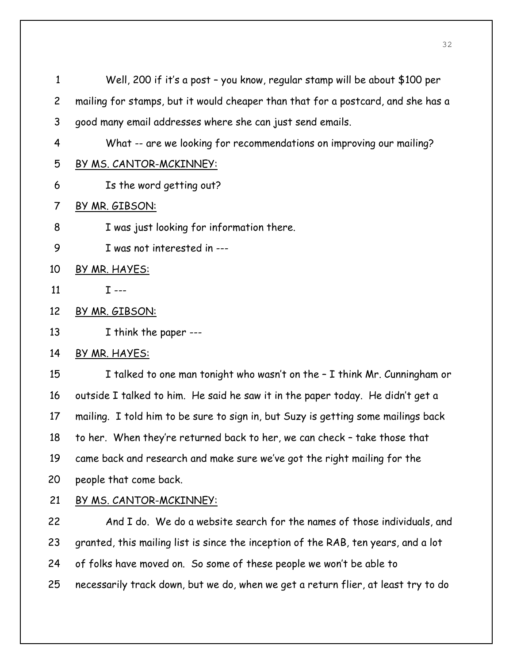| $\mathbf{1}$   | Well, 200 if it's a post - you know, regular stamp will be about \$100 per        |
|----------------|-----------------------------------------------------------------------------------|
| $\overline{2}$ | mailing for stamps, but it would cheaper than that for a postcard, and she has a  |
| 3              | good many email addresses where she can just send emails.                         |
| 4              | What -- are we looking for recommendations on improving our mailing?              |
| 5              | BY MS. CANTOR-MCKINNEY:                                                           |
| 6              | Is the word getting out?                                                          |
| 7              | BY MR. GIBSON:                                                                    |
| 8              | I was just looking for information there.                                         |
| 9              | I was not interested in ---                                                       |
| 10             | BY MR. HAYES:                                                                     |
| 11             | $I --$                                                                            |
| 12             | BY MR. GIBSON:                                                                    |
| 13             | I think the paper ---                                                             |
| 14             | BY MR. HAYES:                                                                     |
| 15             | I talked to one man tonight who wasn't on the - I think Mr. Cunningham or         |
| 16             | outside I talked to him. He said he saw it in the paper today. He didn't get a    |
| 17             | mailing. I told him to be sure to sign in, but Suzy is getting some mailings back |
| 18             | to her. When they're returned back to her, we can check - take those that         |
| 19             | came back and research and make sure we've got the right mailing for the          |

- 20 people that come back.
- 

22 And I do. We do a website search for the names of those individuals, and 23 granted, this mailing list is since the inception of the RAB, ten years, and a lot 24 of folks have moved on. So some of these people we won't be able to 25 necessarily track down, but we do, when we get a return flier, at least try to do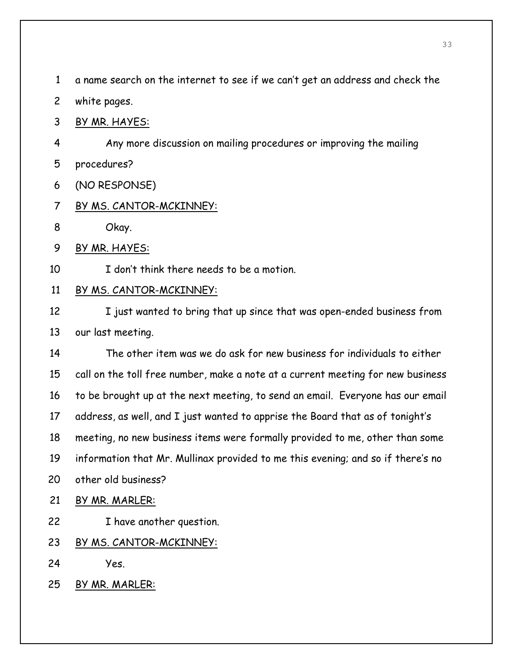1 a name search on the internet to see if we can't get an address and check the

- 2 white pages.
- 3 BY MR. HAYES:
- 4 Any more discussion on mailing procedures or improving the mailing 5 procedures?
- 6 (NO RESPONSE)
- 7 BY MS. CANTOR-MCKINNEY:
- 8 Okay.
- 9 BY MR. HAYES:
- 10 I don't think there needs to be a motion.

## 11 BY MS. CANTOR-MCKINNEY:

12 I just wanted to bring that up since that was open-ended business from 13 our last meeting.

14 The other item was we do ask for new business for individuals to either 15 call on the toll free number, make a note at a current meeting for new business 16 to be brought up at the next meeting, to send an email. Everyone has our email 17 address, as well, and I just wanted to apprise the Board that as of tonight's 18 meeting, no new business items were formally provided to me, other than some 19 information that Mr. Mullinax provided to me this evening; and so if there's no 20 other old business?

- 21 BY MR. MARLER:
- 22 I have another question.
- 23 BY MS. CANTOR-MCKINNEY:
- 24 Yes.
- 25 BY MR. MARLER: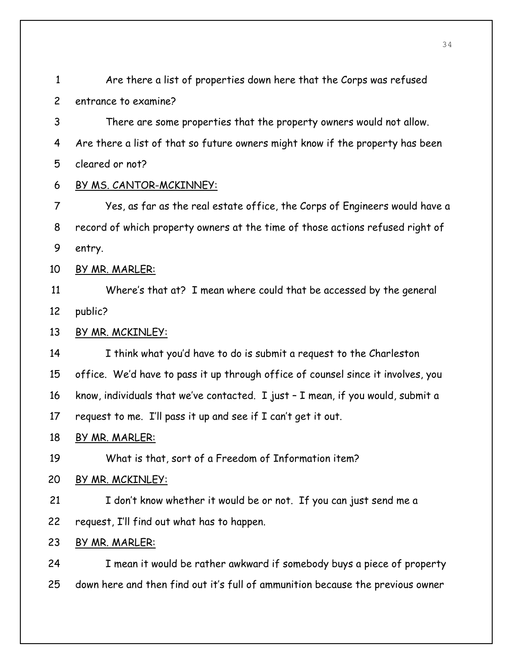| $\overline{c}$ | entrance to examine?                                                             |
|----------------|----------------------------------------------------------------------------------|
| 3              | There are some properties that the property owners would not allow.              |
| 4              | Are there a list of that so future owners might know if the property has been    |
| 5              | cleared or not?                                                                  |
| 6              | BY MS. CANTOR-MCKINNEY:                                                          |
| $\overline{7}$ | Yes, as far as the real estate office, the Corps of Engineers would have a       |
| 8              | record of which property owners at the time of those actions refused right of    |
| 9              | entry.                                                                           |
| 10             | BY MR. MARLER:                                                                   |
| 11             | Where's that at? I mean where could that be accessed by the general              |
| 12             | public?                                                                          |
| 13             | BY MR. MCKINLEY:                                                                 |
| 14             | I think what you'd have to do is submit a request to the Charleston              |
| 15             | office. We'd have to pass it up through office of counsel since it involves, you |
| 16             | know, individuals that we've contacted. I just - I mean, if you would, submit a  |
| 17             | request to me. I'll pass it up and see if I can't get it out.                    |
| 18             | BY MR. MARLER:                                                                   |
| 19             | What is that, sort of a Freedom of Information item?                             |
| 20             | <u>BY MR. MCKINLEY:</u>                                                          |
| 21             | I don't know whether it would be or not. If you can just send me a               |
| 22             | request, I'll find out what has to happen.                                       |
| 23             | BY MR. MARLER:                                                                   |
| 24             | I mean it would be rather awkward if somebody buys a piece of property           |
| 25             | down here and then find out it's full of ammunition because the previous owner   |

1 Are there a list of properties down here that the Corps was refused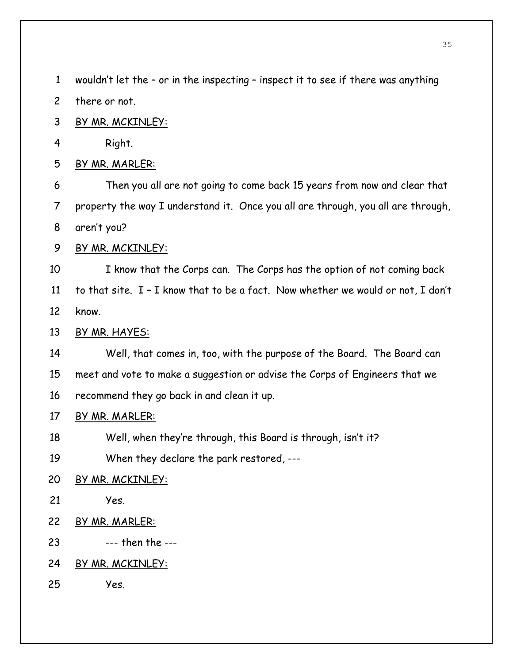1 wouldn't let the – or in the inspecting – inspect it to see if there was anything 2 there or not. 3 BY MR. MCKINLEY: 4 Right. 5 BY MR. MARLER: 6 Then you all are not going to come back 15 years from now and clear that 7 property the way I understand it. Once you all are through, you all are through, 8 aren't you? 9 BY MR. MCKINLEY: 10 I know that the Corps can. The Corps has the option of not coming back 11 to that site. I – I know that to be a fact. Now whether we would or not, I don't 12 know. 13 BY MR. HAYES: 14 Well, that comes in, too, with the purpose of the Board. The Board can 15 meet and vote to make a suggestion or advise the Corps of Engineers that we 16 recommend they go back in and clean it up. 17 BY MR. MARLER: 18 Well, when they're through, this Board is through, isn't it? 19 When they declare the park restored, --- 20 BY MR. MCKINLEY: 21 Yes. 22 BY MR. MARLER: 23 --- then the --- 24 BY MR. MCKINLEY: 25 Yes.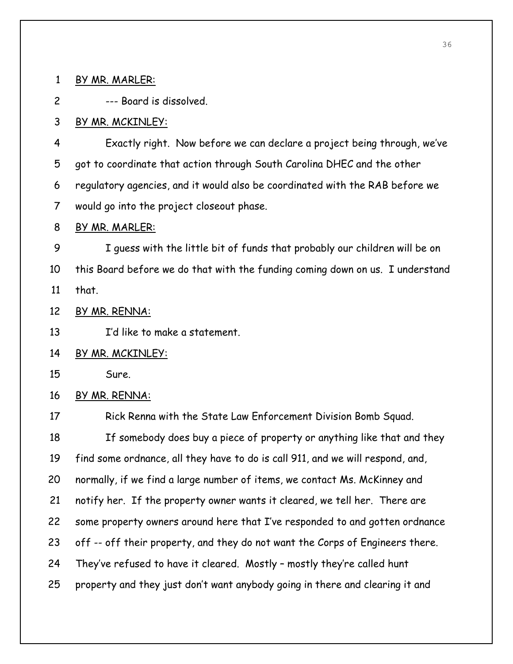1 BY MR. MARLER:

2 --- Board is dissolved.

## 3 BY MR. MCKINLEY:

4 Exactly right. Now before we can declare a project being through, we've 5 got to coordinate that action through South Carolina DHEC and the other 6 regulatory agencies, and it would also be coordinated with the RAB before we 7 would go into the project closeout phase.

#### 8 BY MR. MARLER:

9 I guess with the little bit of funds that probably our children will be on 10 this Board before we do that with the funding coming down on us. I understand 11 that.

12 BY MR. RENNA:

13 I'd like to make a statement.

## 14 BY MR. MCKINLEY:

15 Sure.

## 16 BY MR. RENNA:

17 Rick Renna with the State Law Enforcement Division Bomb Squad. 18 If somebody does buy a piece of property or anything like that and they 19 find some ordnance, all they have to do is call 911, and we will respond, and, 20 normally, if we find a large number of items, we contact Ms. McKinney and 21 notify her. If the property owner wants it cleared, we tell her. There are 22 some property owners around here that I've responded to and gotten ordnance 23 off -- off their property, and they do not want the Corps of Engineers there. 24 They've refused to have it cleared. Mostly – mostly they're called hunt 25 property and they just don't want anybody going in there and clearing it and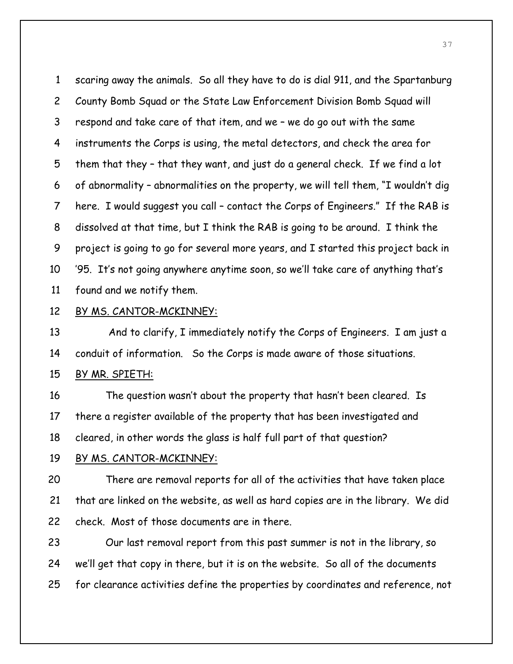1 scaring away the animals. So all they have to do is dial 911, and the Spartanburg 2 County Bomb Squad or the State Law Enforcement Division Bomb Squad will 3 respond and take care of that item, and we – we do go out with the same 4 instruments the Corps is using, the metal detectors, and check the area for 5 them that they – that they want, and just do a general check. If we find a lot 6 of abnormality – abnormalities on the property, we will tell them, "I wouldn't dig 7 here. I would suggest you call – contact the Corps of Engineers." If the RAB is 8 dissolved at that time, but I think the RAB is going to be around. I think the 9 project is going to go for several more years, and I started this project back in 10 '95. It's not going anywhere anytime soon, so we'll take care of anything that's 11 found and we notify them.

#### 12 BY MS. CANTOR-MCKINNEY:

13 And to clarify, I immediately notify the Corps of Engineers. I am just a 14 conduit of information. So the Corps is made aware of those situations.

# 15 BY MR. SPIETH:

16 The question wasn't about the property that hasn't been cleared. Is 17 there a register available of the property that has been investigated and 18 cleared, in other words the glass is half full part of that question?

#### 19 BY MS. CANTOR-MCKINNEY:

20 There are removal reports for all of the activities that have taken place 21 that are linked on the website, as well as hard copies are in the library. We did 22 check. Most of those documents are in there.

23 Our last removal report from this past summer is not in the library, so 24 we'll get that copy in there, but it is on the website. So all of the documents 25 for clearance activities define the properties by coordinates and reference, not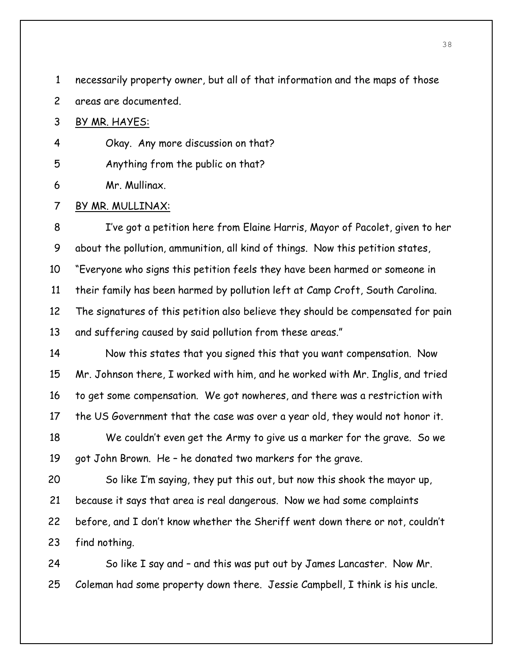1 necessarily property owner, but all of that information and the maps of those

2 areas are documented.

#### 3 BY MR. HAYES:

4 Okay. Any more discussion on that?

5 Anything from the public on that?

6 Mr. Mullinax.

#### 7 BY MR. MULLINAX:

8 I've got a petition here from Elaine Harris, Mayor of Pacolet, given to her 9 about the pollution, ammunition, all kind of things. Now this petition states, 10 "Everyone who signs this petition feels they have been harmed or someone in 11 their family has been harmed by pollution left at Camp Croft, South Carolina. 12 The signatures of this petition also believe they should be compensated for pain 13 and suffering caused by said pollution from these areas." 14 Now this states that you signed this that you want compensation. Now

15 Mr. Johnson there, I worked with him, and he worked with Mr. Inglis, and tried 16 to get some compensation. We got nowheres, and there was a restriction with 17 the US Government that the case was over a year old, they would not honor it.

18 We couldn't even get the Army to give us a marker for the grave. So we 19 got John Brown. He – he donated two markers for the grave.

20 So like I'm saying, they put this out, but now this shook the mayor up, 21 because it says that area is real dangerous. Now we had some complaints 22 before, and I don't know whether the Sheriff went down there or not, couldn't 23 find nothing.

24 So like I say and – and this was put out by James Lancaster. Now Mr. 25 Coleman had some property down there. Jessie Campbell, I think is his uncle.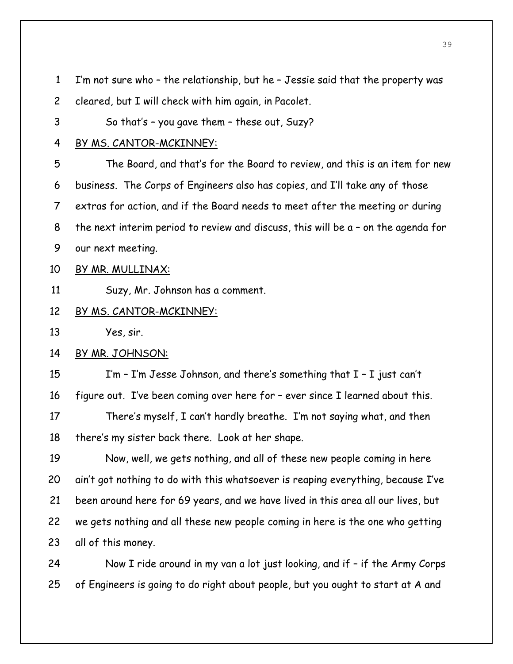| $\mathbf{1}$   | I'm not sure who - the relationship, but he - Jessie said that the property was     |
|----------------|-------------------------------------------------------------------------------------|
| $\overline{c}$ | cleared, but I will check with him again, in Pacolet.                               |
| 3              | So that's - you gave them - these out, Suzy?                                        |
| 4              | BY MS. CANTOR-MCKINNEY:                                                             |
| 5              | The Board, and that's for the Board to review, and this is an item for new          |
| 6              | business. The Corps of Engineers also has copies, and I'll take any of those        |
| $\overline{7}$ | extras for action, and if the Board needs to meet after the meeting or during       |
| 8              | the next interim period to review and discuss, this will be $a$ - on the agenda for |
| 9              | our next meeting.                                                                   |
| 10             | BY MR. MULLINAX:                                                                    |
| 11             | Suzy, Mr. Johnson has a comment.                                                    |
| 12             | BY MS. CANTOR-MCKINNEY:                                                             |
| 13             | Yes, sir.                                                                           |
| 14             | BY MR. JOHNSON:                                                                     |
| 15             | I'm - I'm Jesse Johnson, and there's something that $I - I$ just can't              |
| 16             | figure out. I've been coming over here for - ever since I learned about this.       |
| 17             | There's myself, I can't hardly breathe. I'm not saying what, and then               |
| 18             | there's my sister back there. Look at her shape.                                    |
| 19             | Now, well, we gets nothing, and all of these new people coming in here              |
| 20             | ain't got nothing to do with this whatsoever is reaping everything, because I've    |
| 21             | been around here for 69 years, and we have lived in this area all our lives, but    |
| 22             | we gets nothing and all these new people coming in here is the one who getting      |
| 23             | all of this money.                                                                  |
| 24             | Now I ride around in my van a lot just looking, and if - if the Army Corps          |
| 25             | of Engineers is going to do right about people, but you ought to start at A and     |
|                |                                                                                     |
|                |                                                                                     |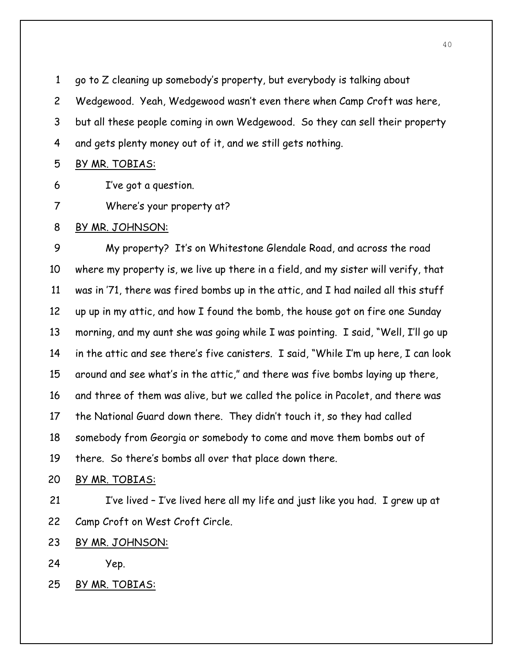1 go to Z cleaning up somebody's property, but everybody is talking about 2 Wedgewood. Yeah, Wedgewood wasn't even there when Camp Croft was here, 3 but all these people coming in own Wedgewood. So they can sell their property 4 and gets plenty money out of it, and we still gets nothing.

#### 5 BY MR. TOBIAS:

6 I've got a question.

7 Where's your property at?

#### 8 BY MR. JOHNSON:

9 My property? It's on Whitestone Glendale Road, and across the road 10 where my property is, we live up there in a field, and my sister will verify, that 11 was in '71, there was fired bombs up in the attic, and I had nailed all this stuff 12 up up in my attic, and how I found the bomb, the house got on fire one Sunday 13 morning, and my aunt she was going while I was pointing. I said, "Well, I'll go up 14 in the attic and see there's five canisters. I said, "While I'm up here, I can look 15 around and see what's in the attic," and there was five bombs laying up there, 16 and three of them was alive, but we called the police in Pacolet, and there was 17 the National Guard down there. They didn't touch it, so they had called 18 somebody from Georgia or somebody to come and move them bombs out of 19 there. So there's bombs all over that place down there.

#### 20 BY MR. TOBIAS:

21 I've lived – I've lived here all my life and just like you had. I grew up at 22 Camp Croft on West Croft Circle.

23 BY MR. JOHNSON:

24 Yep.

25 BY MR. TOBIAS: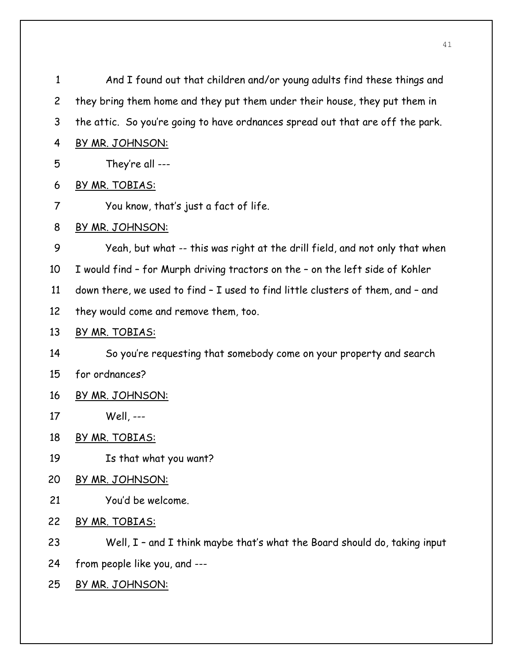| 1              | And I found out that children and/or young adults find these things and         |
|----------------|---------------------------------------------------------------------------------|
| $\overline{c}$ | they bring them home and they put them under their house, they put them in      |
| 3              | the attic. So you're going to have ordnances spread out that are off the park.  |
| 4              | BY MR. JOHNSON:                                                                 |
| 5              | They're all ---                                                                 |
| 6              | BY MR. TOBIAS:                                                                  |
| 7              | You know, that's just a fact of life.                                           |
| 8              | BY MR. JOHNSON:                                                                 |
| 9              | Yeah, but what -- this was right at the drill field, and not only that when     |
| 10             | I would find - for Murph driving tractors on the - on the left side of Kohler   |
| 11             | down there, we used to find - I used to find little clusters of them, and - and |
| 12             | they would come and remove them, too.                                           |
| 13             | BY MR. TOBIAS:                                                                  |
| 14             | So you're requesting that somebody come on your property and search             |
| 15             | for ordnances?                                                                  |
| 16             | BY MR. JOHNSON:                                                                 |
| 17             | Well, ---                                                                       |
| 18             | BY MR. TOBIAS:                                                                  |
| 19             | Is that what you want?                                                          |
| 20             | BY MR. JOHNSON:                                                                 |
| 21             | You'd be welcome.                                                               |
| 22             | BY MR. TOBIAS:                                                                  |
| 23             | Well, I - and I think maybe that's what the Board should do, taking input       |
| 24             | from people like you, and ---                                                   |
| 25             | BY MR. JOHNSON:                                                                 |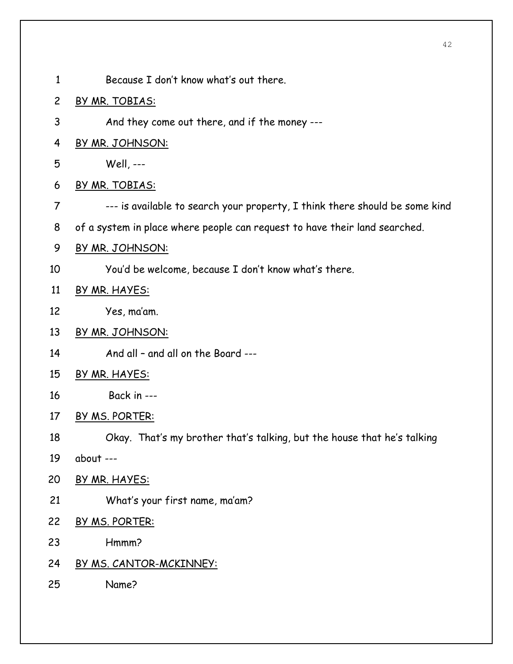- 1 Because I don't know what's out there.
- 2 BY MR. TOBIAS:
- 3 And they come out there, and if the money ---
- 4 BY MR. JOHNSON:
- 5 Well, ---
- 6 BY MR. TOBIAS:
- 7 --- is available to search your property, I think there should be some kind
- 8 of a system in place where people can request to have their land searched.
- 9 BY MR. JOHNSON:
- 10 You'd be welcome, because I don't know what's there.
- 11 BY MR. HAYES:
- 12 Yes, ma'am.
- 13 BY MR. JOHNSON:
- 14 And all and all on the Board ---
- 15 BY MR. HAYES:
- 16 Back in ---
- 17 BY MS. PORTER:
- 18 Okay. That's my brother that's talking, but the house that he's talking
- 19 about ---
- 20 BY MR. HAYES:
- 21 What's your first name, ma'am?
- 22 BY MS. PORTER:
- 23 Hmmm?
- 24 BY MS. CANTOR-MCKINNEY:
- 25 Name?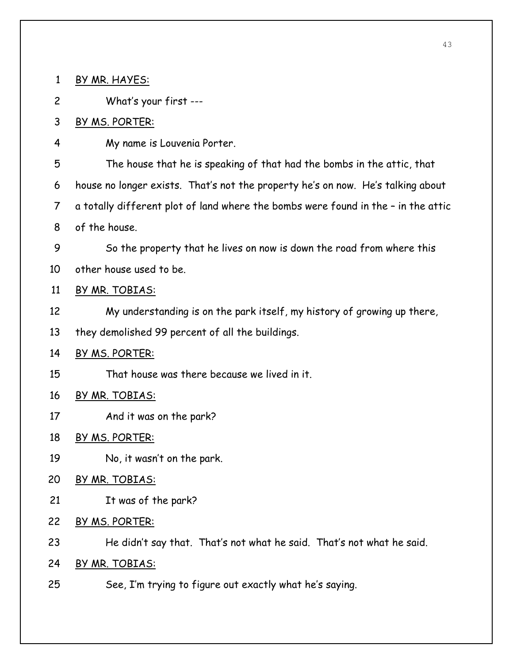1 BY MR. HAYES: 2 What's your first --- 3 BY MS. PORTER: 4 My name is Louvenia Porter. 5 The house that he is speaking of that had the bombs in the attic, that 6 house no longer exists. That's not the property he's on now. He's talking about 7 a totally different plot of land where the bombs were found in the – in the attic 8 of the house. 9 So the property that he lives on now is down the road from where this 10 other house used to be. 11 BY MR. TOBIAS: 12 My understanding is on the park itself, my history of growing up there, 13 they demolished 99 percent of all the buildings. 14 BY MS. PORTER: 15 That house was there because we lived in it. 16 BY MR. TOBIAS: 17 And it was on the park? 18 BY MS. PORTER: 19 No, it wasn't on the park. 20 BY MR. TOBIAS: 21 It was of the park? 22 BY MS. PORTER: 23 He didn't say that. That's not what he said. That's not what he said. 24 BY MR. TOBIAS: 25 See, I'm trying to figure out exactly what he's saying.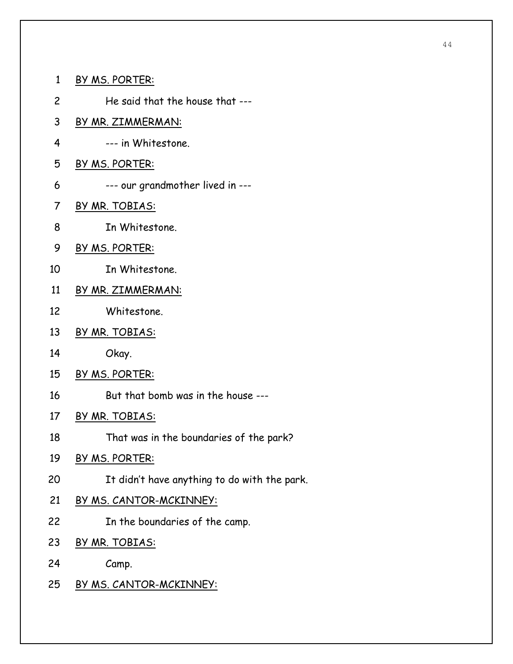- 1 BY MS. PORTER: 2 He said that the house that --- 3 BY MR. ZIMMERMAN: 4 --- in Whitestone.
- 5 BY MS. PORTER:
- 6 --- our grandmother lived in ---
- 7 BY MR. TOBIAS:
- 8 In Whitestone.
- 9 BY MS. PORTER:
- 10 In Whitestone.
- 11 BY MR. ZIMMERMAN:
- 12 Whitestone.
- 13 BY MR. TOBIAS:
- 14 Okay.
- 15 BY MS. PORTER:
- 16 But that bomb was in the house ---
- 17 BY MR. TOBIAS:
- 18 That was in the boundaries of the park?
- 19 BY MS. PORTER:
- 20 It didn't have anything to do with the park.
- 21 BY MS. CANTOR-MCKINNEY:
- 22 In the boundaries of the camp.
- 23 BY MR. TOBIAS:
- 24 Camp.
- 25 BY MS. CANTOR-MCKINNEY: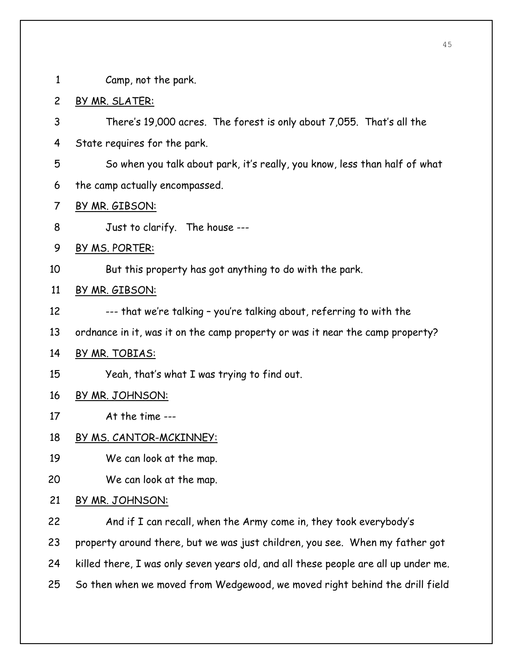1 Camp, not the park.

- 2 BY MR. SLATER:
- 3 There's 19,000 acres. The forest is only about 7,055. That's all the
- 4 State requires for the park.
- 5 So when you talk about park, it's really, you know, less than half of what
- 6 the camp actually encompassed.
- 7 BY MR. GIBSON:
- 8 Just to clarify. The house ---
- 9 BY MS. PORTER:
- 10 But this property has got anything to do with the park.

#### 11 BY MR. GIBSON:

- 12 --- that we're talking you're talking about, referring to with the
- 13 ordnance in it, was it on the camp property or was it near the camp property?

#### 14 BY MR. TOBIAS:

15 Yeah, that's what I was trying to find out.

#### 16 BY MR. JOHNSON:

- 17 At the time ---
- 18 BY MS. CANTOR-MCKINNEY:
- 19 We can look at the map.
- 20 We can look at the map.
- 21 BY MR. JOHNSON:
- 22 And if I can recall, when the Army come in, they took everybody's 23 property around there, but we was just children, you see. When my father got 24 killed there, I was only seven years old, and all these people are all up under me. 25 So then when we moved from Wedgewood, we moved right behind the drill field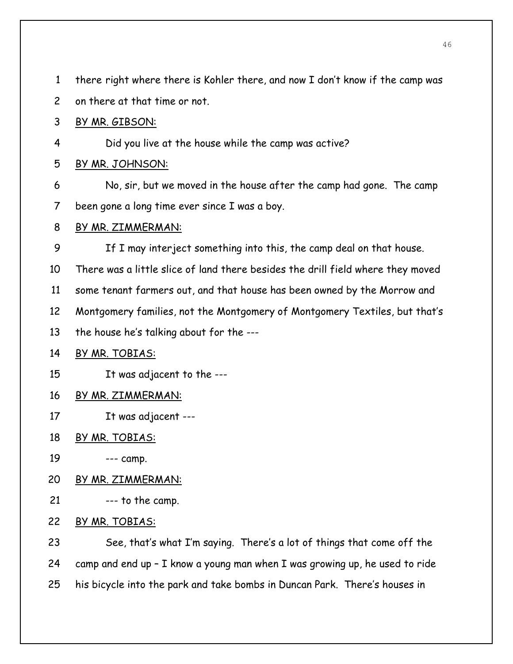1 there right where there is Kohler there, and now I don't know if the camp was

2 on there at that time or not.

# 3 BY MR. GIBSON:

4 Did you live at the house while the camp was active?

## 5 BY MR. JOHNSON:

- 6 No, sir, but we moved in the house after the camp had gone. The camp 7 been gone a long time ever since I was a boy.
- 8 BY MR. ZIMMERMAN:
- 9 If I may interject something into this, the camp deal on that house.

10 There was a little slice of land there besides the drill field where they moved

11 some tenant farmers out, and that house has been owned by the Morrow and

12 Montgomery families, not the Montgomery of Montgomery Textiles, but that's

13 the house he's talking about for the ---

# 14 BY MR. TOBIAS:

15 It was adjacent to the ---

- 16 BY MR. ZIMMERMAN:
- 17 It was adjacent ---
- 18 BY MR. TOBIAS:
- 19 --- camp.
- 20 BY MR. ZIMMERMAN:
- 21 --- to the camp.
- 22 BY MR. TOBIAS:

23 See, that's what I'm saying. There's a lot of things that come off the 24 camp and end up – I know a young man when I was growing up, he used to ride 25 his bicycle into the park and take bombs in Duncan Park. There's houses in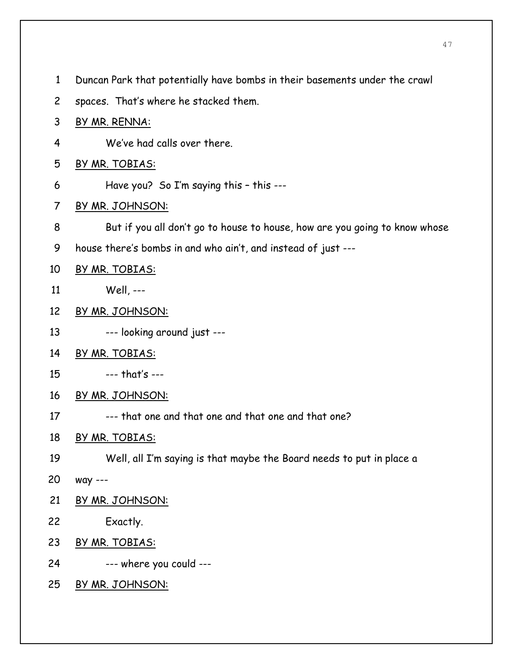- 1 Duncan Park that potentially have bombs in their basements under the crawl
- 2 spaces. That's where he stacked them.
- 3 BY MR. RENNA:
- 4 We've had calls over there.
- 5 BY MR. TOBIAS:
- 6 Have you? So I'm saying this this ---
- 7 BY MR. JOHNSON:
- 8 But if you all don't go to house to house, how are you going to know whose
- 9 house there's bombs in and who ain't, and instead of just ---
- 10 BY MR. TOBIAS:
- 11 Well, ---
- 12 BY MR. JOHNSON:
- 13 --- looking around just ---
- 14 BY MR. TOBIAS:
- 15 --- that's ---
- 16 BY MR. JOHNSON:
- 17 --- that one and that one and that one and that one?
- 18 BY MR. TOBIAS:
- 19 Well, all I'm saying is that maybe the Board needs to put in place a
- 20 way ---
- 21 BY MR. JOHNSON:
- 22 Exactly.
- 23 BY MR. TOBIAS:
- 24 --- where you could ---
- 25 BY MR. JOHNSON: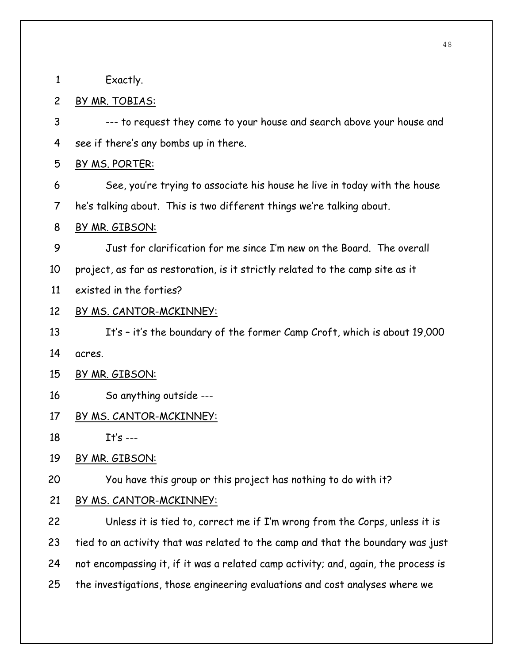1 Exactly.

## 2 BY MR. TOBIAS:

3 --- to request they come to your house and search above your house and 4 see if there's any bombs up in there.

#### 5 BY MS. PORTER:

6 See, you're trying to associate his house he live in today with the house 7 he's talking about. This is two different things we're talking about.

#### 8 BY MR. GIBSON:

9 Just for clarification for me since I'm new on the Board. The overall 10 project, as far as restoration, is it strictly related to the camp site as it

11 existed in the forties?

#### 12 BY MS. CANTOR-MCKINNEY:

13 It's – it's the boundary of the former Camp Croft, which is about 19,000 14 acres.

#### 15 BY MR. GIBSON:

16 So anything outside ---

## 17 BY MS. CANTOR-MCKINNEY:

18 It's ---

#### 19 BY MR. GIBSON:

20 You have this group or this project has nothing to do with it?

#### 21 BY MS. CANTOR-MCKINNEY:

22 Unless it is tied to, correct me if I'm wrong from the Corps, unless it is 23 tied to an activity that was related to the camp and that the boundary was just 24 not encompassing it, if it was a related camp activity; and, again, the process is 25 the investigations, those engineering evaluations and cost analyses where we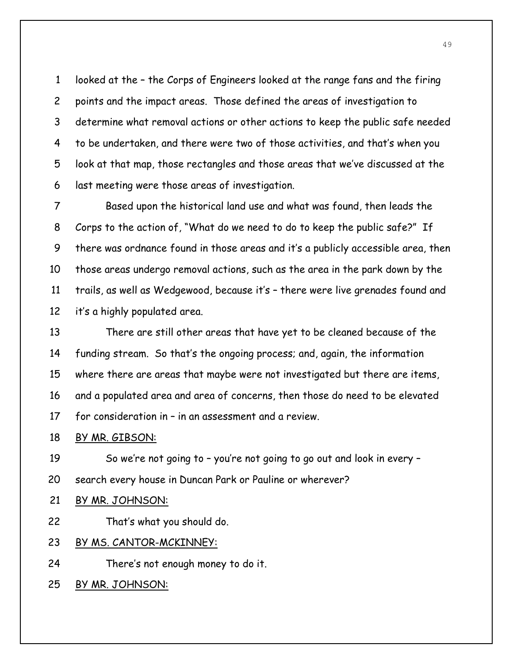1 looked at the – the Corps of Engineers looked at the range fans and the firing 2 points and the impact areas. Those defined the areas of investigation to 3 determine what removal actions or other actions to keep the public safe needed 4 to be undertaken, and there were two of those activities, and that's when you 5 look at that map, those rectangles and those areas that we've discussed at the 6 last meeting were those areas of investigation.

7 Based upon the historical land use and what was found, then leads the 8 Corps to the action of, "What do we need to do to keep the public safe?" If 9 there was ordnance found in those areas and it's a publicly accessible area, then 10 those areas undergo removal actions, such as the area in the park down by the 11 trails, as well as Wedgewood, because it's – there were live grenades found and 12 it's a highly populated area.

13 There are still other areas that have yet to be cleaned because of the 14 funding stream. So that's the ongoing process; and, again, the information 15 where there are areas that maybe were not investigated but there are items, 16 and a populated area and area of concerns, then those do need to be elevated 17 for consideration in – in an assessment and a review.

#### 18 BY MR. GIBSON:

19 So we're not going to – you're not going to go out and look in every – 20 search every house in Duncan Park or Pauline or wherever?

# 21 BY MR. JOHNSON:

22 That's what you should do.

# 23 BY MS. CANTOR-MCKINNEY:

24 There's not enough money to do it.

25 BY MR. JOHNSON: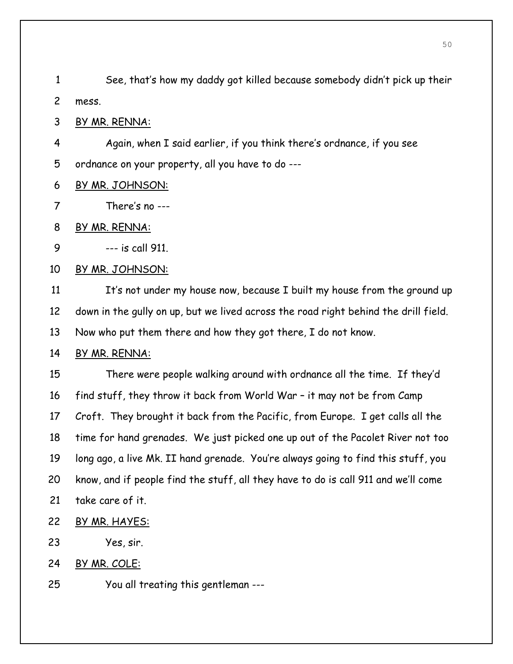1 See, that's how my daddy got killed because somebody didn't pick up their 2 mess.

3 BY MR. RENNA:

4 Again, when I said earlier, if you think there's ordnance, if you see 5 ordnance on your property, all you have to do ---

- 6 BY MR. JOHNSON:
- 7 There's no ---
- 8 BY MR. RENNA:

9 --- is call 911.

10 BY MR. JOHNSON:

11 It's not under my house now, because I built my house from the ground up 12 down in the gully on up, but we lived across the road right behind the drill field. 13 Now who put them there and how they got there, I do not know.

#### 14 BY MR. RENNA:

15 There were people walking around with ordnance all the time. If they'd 16 find stuff, they throw it back from World War – it may not be from Camp 17 Croft. They brought it back from the Pacific, from Europe. I get calls all the 18 time for hand grenades. We just picked one up out of the Pacolet River not too 19 long ago, a live Mk. II hand grenade. You're always going to find this stuff, you 20 know, and if people find the stuff, all they have to do is call 911 and we'll come 21 take care of it.

- 22 BY MR. HAYES:
- 23 Yes, sir.
- 24 BY MR. COLE:
- 25 You all treating this gentleman ---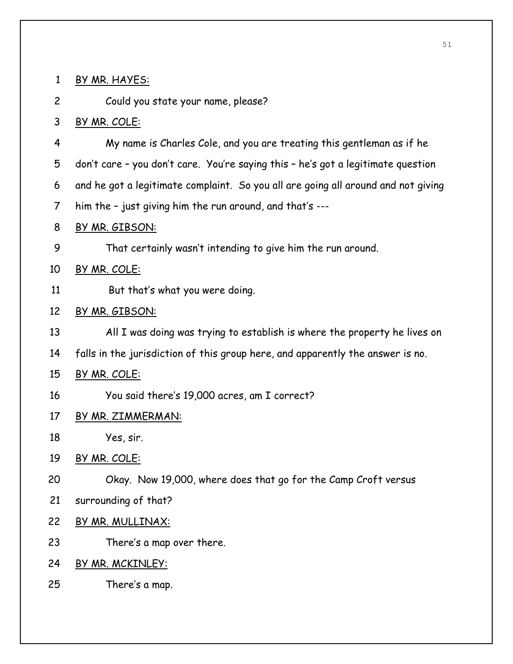| 1              | BY MR. HAYES:                                                                     |
|----------------|-----------------------------------------------------------------------------------|
| $\overline{c}$ | Could you state your name, please?                                                |
| 3              | BY MR. COLE:                                                                      |
| 4              | My name is Charles Cole, and you are treating this gentleman as if he             |
| 5              | don't care - you don't care. You're saying this - he's got a legitimate question  |
| 6              | and he got a legitimate complaint. So you all are going all around and not giving |
| 7              | him the - just giving him the run around, and that's ---                          |
| 8              | BY MR. GIBSON:                                                                    |
| 9              | That certainly wasn't intending to give him the run around.                       |
| 10             | BY MR. COLE:                                                                      |
| 11             | But that's what you were doing.                                                   |
| 12             | BY MR. GIBSON:                                                                    |
| 13             | All I was doing was trying to establish is where the property he lives on         |
| 14             | falls in the jurisdiction of this group here, and apparently the answer is no.    |
| 15             | BY MR. COLE:                                                                      |
| 16             | You said there's 19,000 acres, am I correct?                                      |
| 17             | BY MR. ZIMMERMAN:                                                                 |
| 18             | Yes, sir.                                                                         |
| 19             | BY MR. COLE:                                                                      |
| 20             | Okay. Now 19,000, where does that go for the Camp Croft versus                    |
| 21             | surrounding of that?                                                              |
| 22             | BY MR. MULLINAX:                                                                  |
| 23             | There's a map over there.                                                         |
| 24             | BY MR. MCKINLEY:                                                                  |
| 25             | There's a map.                                                                    |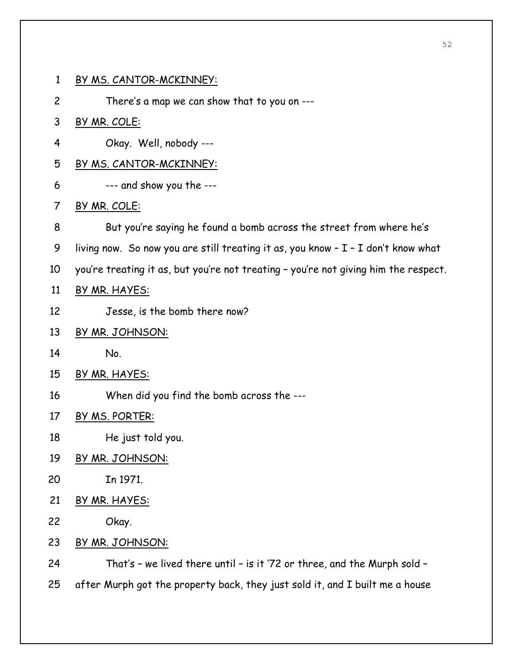1 BY MS. CANTOR-MCKINNEY: 2 There's a map we can show that to you on --- 3 BY MR. COLE: 4 Okay. Well, nobody --- 5 BY MS. CANTOR-MCKINNEY: 6 --- and show you the --- 7 BY MR. COLE: 8 But you're saying he found a bomb across the street from where he's 9 living now. So now you are still treating it as, you know – I – I don't know what 10 you're treating it as, but you're not treating – you're not giving him the respect. 11 BY MR. HAYES: 12 Jesse, is the bomb there now?

- 13 BY MR. JOHNSON:
- 14 No.
- 15 BY MR. HAYES:
- 16 When did you find the bomb across the ---
- 17 BY MS. PORTER:
- 18 He just told you.
- 19 BY MR. JOHNSON:
- 20 In 1971.
- 21 BY MR. HAYES:
- 22 Okay.
- 23 BY MR. JOHNSON:

24 That's – we lived there until – is it '72 or three, and the Murph sold – 25 after Murph got the property back, they just sold it, and I built me a house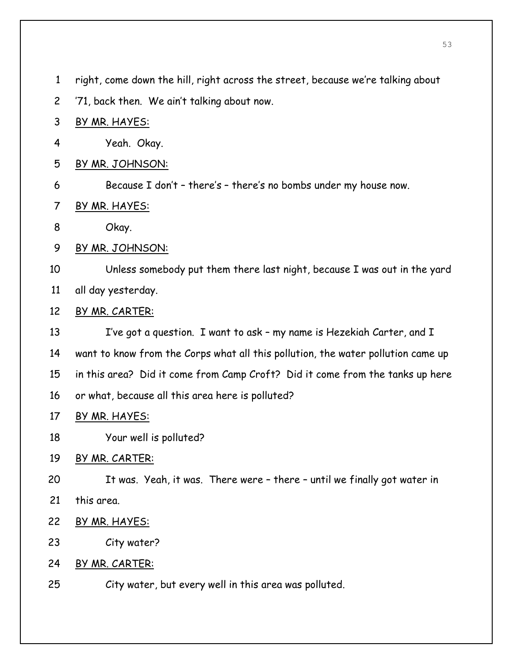- 1 right, come down the hill, right across the street, because we're talking about
- 2 '71, back then. We ain't talking about now.
- 3 BY MR. HAYES:
- 4 Yeah. Okay.
- 5 BY MR. JOHNSON:
- 6 Because I don't there's there's no bombs under my house now.
- 7 BY MR. HAYES:
- 8 Okay.
- 9 BY MR. JOHNSON:
- 10 Unless somebody put them there last night, because I was out in the yard 11 all day yesterday.
- 12 BY MR. CARTER:
- 13 I've got a question. I want to ask my name is Hezekiah Carter, and I 14 want to know from the Corps what all this pollution, the water pollution came up 15 in this area? Did it come from Camp Croft? Did it come from the tanks up here 16 or what, because all this area here is polluted?
- 17 BY MR. HAYES:
- 18 Your well is polluted?
- 19 BY MR. CARTER:
- 20 It was. Yeah, it was. There were there until we finally got water in
- 21 this area.
- 22 BY MR. HAYES:
- 23 City water?
- 24 BY MR. CARTER:
- 25 City water, but every well in this area was polluted.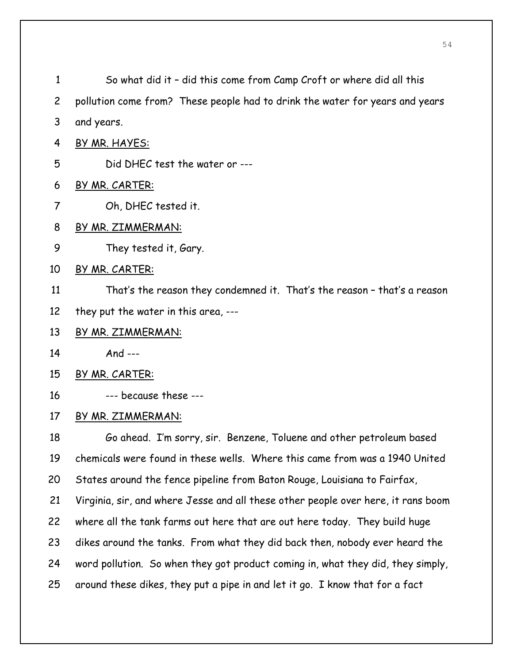| $\mathbf{1}$  | So what did it - did this come from Camp Croft or where did all this              |
|---------------|-----------------------------------------------------------------------------------|
| $\mathsf{2}$  | pollution come from? These people had to drink the water for years and years      |
| 3             | and years.                                                                        |
| 4             | BY MR. HAYES:                                                                     |
| 5             | Did DHEC test the water or ---                                                    |
| 6             | BY MR. CARTER:                                                                    |
| 7             | Oh, DHEC tested it.                                                               |
| 8             | BY MR. ZIMMERMAN:                                                                 |
| 9             | They tested it, Gary.                                                             |
| 10            | BY MR. CARTER:                                                                    |
| 11            | That's the reason they condemned it. That's the reason - that's a reason          |
| 12            | they put the water in this area, ---                                              |
| 13            | BY MR. ZIMMERMAN:                                                                 |
| 14            | And $---$                                                                         |
| 15            | BY MR. CARTER:                                                                    |
| 16            | --- because these ---                                                             |
| 17            | BY MR. ZIMMERMAN:                                                                 |
| 18            | Go ahead. I'm sorry, sir. Benzene, Toluene and other petroleum based              |
| 19            | chemicals were found in these wells. Where this came from was a 1940 United       |
| 20            | States around the fence pipeline from Baton Rouge, Louisiana to Fairfax,          |
| 21            | Virginia, sir, and where Jesse and all these other people over here, it rans boom |
| 22            | where all the tank farms out here that are out here today. They build huge        |
| 23            | dikes around the tanks. From what they did back then, nobody ever heard the       |
| 24            | word pollution. So when they got product coming in, what they did, they simply,   |
| $\sim$ $\sim$ |                                                                                   |

25 around these dikes, they put a pipe in and let it go. I know that for a fact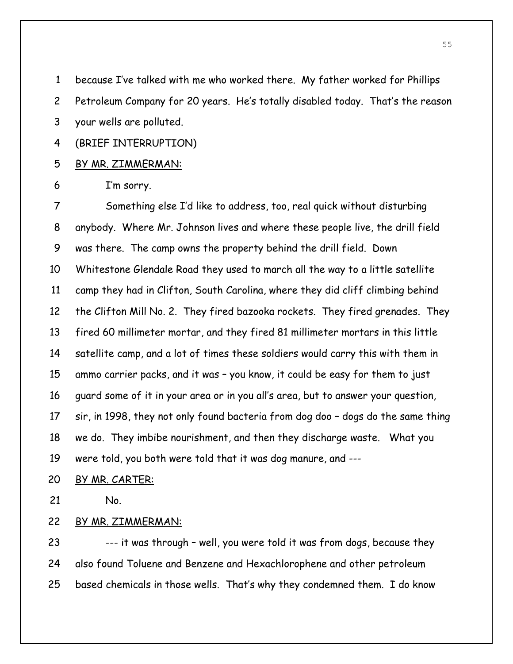1 because I've talked with me who worked there. My father worked for Phillips

2 Petroleum Company for 20 years. He's totally disabled today. That's the reason

3 your wells are polluted.

4 (BRIEF INTERRUPTION)

5 BY MR. ZIMMERMAN:

6 I'm sorry.

7 Something else I'd like to address, too, real quick without disturbing 8 anybody. Where Mr. Johnson lives and where these people live, the drill field 9 was there. The camp owns the property behind the drill field. Down 10 Whitestone Glendale Road they used to march all the way to a little satellite 11 camp they had in Clifton, South Carolina, where they did cliff climbing behind 12 the Clifton Mill No. 2. They fired bazooka rockets. They fired grenades. They 13 fired 60 millimeter mortar, and they fired 81 millimeter mortars in this little 14 satellite camp, and a lot of times these soldiers would carry this with them in 15 ammo carrier packs, and it was – you know, it could be easy for them to just 16 guard some of it in your area or in you all's area, but to answer your question, 17 sir, in 1998, they not only found bacteria from dog doo – dogs do the same thing 18 we do. They imbibe nourishment, and then they discharge waste. What you 19 were told, you both were told that it was dog manure, and ---

20 BY MR. CARTER:

21 No.

# 22 BY MR. ZIMMERMAN:

23 --- it was through – well, you were told it was from dogs, because they 24 also found Toluene and Benzene and Hexachlorophene and other petroleum 25 based chemicals in those wells. That's why they condemned them. I do know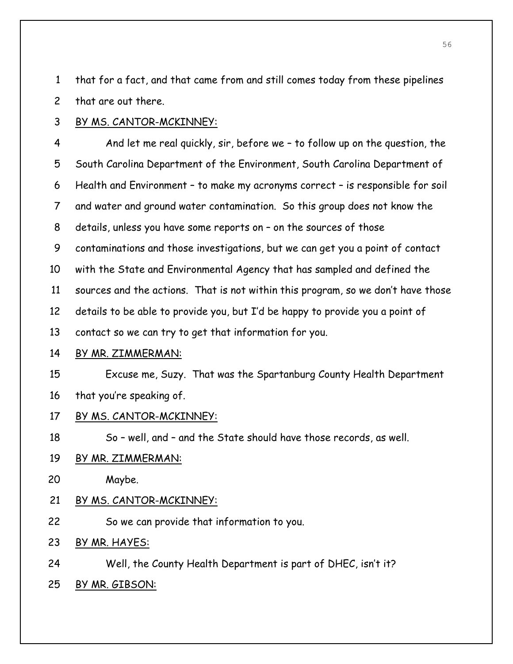1 that for a fact, and that came from and still comes today from these pipelines 2 that are out there.

3 BY MS. CANTOR-MCKINNEY:

4 And let me real quickly, sir, before we – to follow up on the question, the 5 South Carolina Department of the Environment, South Carolina Department of 6 Health and Environment – to make my acronyms correct – is responsible for soil 7 and water and ground water contamination. So this group does not know the 8 details, unless you have some reports on – on the sources of those 9 contaminations and those investigations, but we can get you a point of contact 10 with the State and Environmental Agency that has sampled and defined the 11 sources and the actions. That is not within this program, so we don't have those 12 details to be able to provide you, but I'd be happy to provide you a point of 13 contact so we can try to get that information for you.

14 BY MR. ZIMMERMAN:

15 Excuse me, Suzy. That was the Spartanburg County Health Department 16 that you're speaking of.

17 BY MS. CANTOR-MCKINNEY:

18 So – well, and – and the State should have those records, as well.

# 19 BY MR. ZIMMERMAN:

20 Maybe.

# 21 BY MS. CANTOR-MCKINNEY:

- 22 So we can provide that information to you.
- 23 BY MR. HAYES:
- 24 Well, the County Health Department is part of DHEC, isn't it?
- 25 BY MR. GIBSON: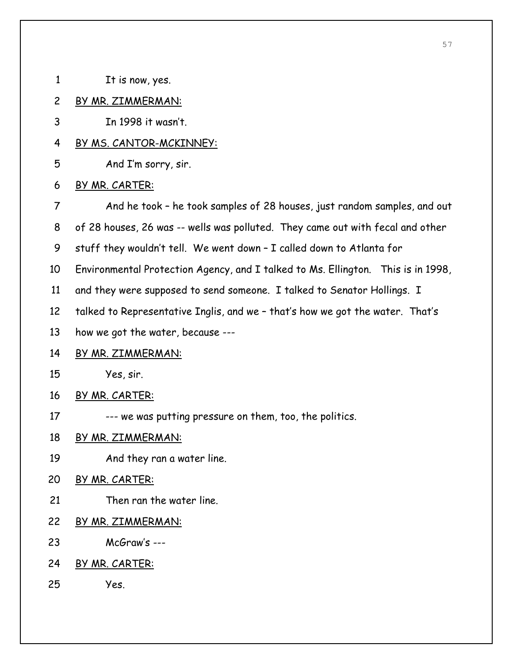- 1 It is now, yes.
- 2 BY MR. ZIMMERMAN:
- 3 In 1998 it wasn't.
- 4 BY MS. CANTOR-MCKINNEY:
- 5 And I'm sorry, sir.
- 6 BY MR. CARTER:
- 7 And he took he took samples of 28 houses, just random samples, and out
- 8 of 28 houses, 26 was -- wells was polluted. They came out with fecal and other
- 9 stuff they wouldn't tell. We went down I called down to Atlanta for
- 10 Environmental Protection Agency, and I talked to Ms. Ellington. This is in 1998,
- 11 and they were supposed to send someone. I talked to Senator Hollings. I
- 12 talked to Representative Inglis, and we that's how we got the water. That's
- 13 how we got the water, because ---
- 14 BY MR. ZIMMERMAN:
- 15 Yes, sir.
- 16 BY MR. CARTER:
- 17 --- we was putting pressure on them, too, the politics.
- 18 BY MR. ZIMMERMAN:
- 19 And they ran a water line.
- 20 BY MR. CARTER:
- 21 Then ran the water line.
- 22 BY MR. ZIMMERMAN:
- 23 McGraw's ---
- 24 BY MR. CARTER:
- 25 Yes.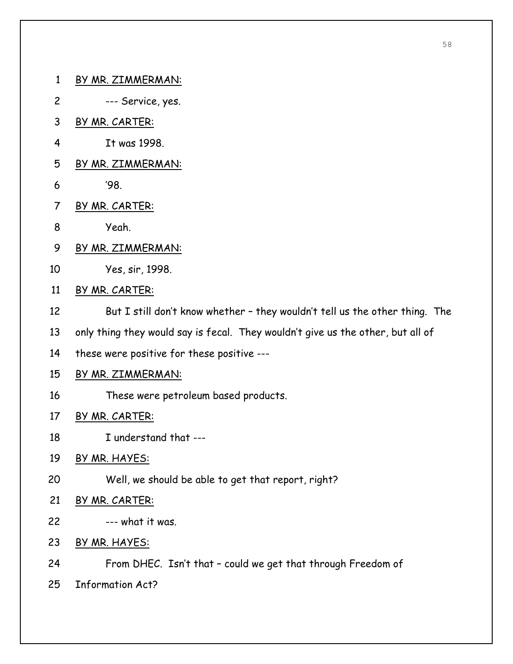- 1 BY MR. ZIMMERMAN:
- 2 --- Service, yes.
- 3 BY MR. CARTER:
- 4 It was 1998.
- 5 BY MR. ZIMMERMAN:
- 6 '98.
- 7 BY MR. CARTER:
- 8 Yeah.
- 9 BY MR. ZIMMERMAN:
- 10 Yes, sir, 1998.
- 11 BY MR. CARTER:
- 12 But I still don't know whether they wouldn't tell us the other thing. The
- 13 only thing they would say is fecal. They wouldn't give us the other, but all of
- 14 these were positive for these positive ---
- 15 BY MR. ZIMMERMAN:
- 16 These were petroleum based products.
- 17 BY MR. CARTER:
- 18 I understand that ---
- 19 BY MR. HAYES:
- 20 Well, we should be able to get that report, right?
- 21 BY MR. CARTER:
- $22$   $---$  what it was.
- 23 BY MR. HAYES:
- 24 From DHEC. Isn't that could we get that through Freedom of
- 25 Information Act?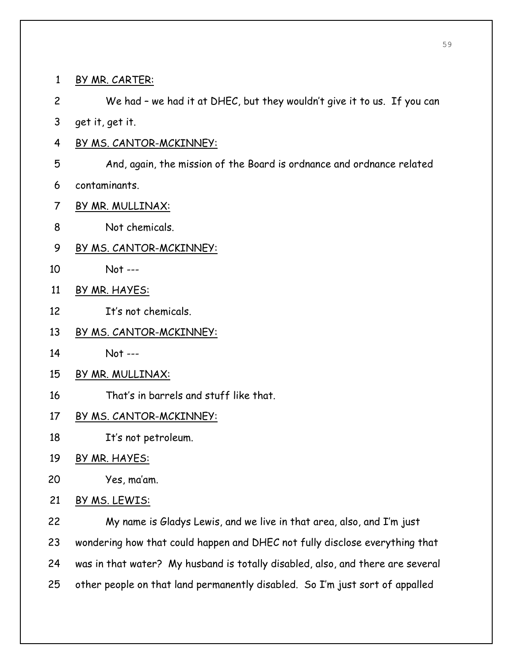| $\mathbf{1}$   | <u>BY MR. CARTER:</u>                                                          |
|----------------|--------------------------------------------------------------------------------|
| $\overline{c}$ | We had - we had it at DHEC, but they wouldn't give it to us. If you can        |
| 3              | get it, get it.                                                                |
| 4              | <u>BY MS. CANTOR-MCKINNEY:</u>                                                 |
| 5              | And, again, the mission of the Board is ordnance and ordnance related          |
| 6              | contaminants.                                                                  |
| 7              | BY MR. MULLINAX:                                                               |
| 8              | Not chemicals.                                                                 |
| 9              | BY MS. CANTOR-MCKINNEY:                                                        |
| 10             | Not ---                                                                        |
| 11             | BY MR. HAYES:                                                                  |
| 12             | It's not chemicals.                                                            |
| 13             | <u>BY MS. CANTOR-MCKINNEY:</u>                                                 |
| 14             | $Not --$                                                                       |
| 15             | BY MR. MULLINAX:                                                               |
| 16             | That's in barrels and stuff like that.                                         |
| 17             | <u>BY MS. CANTOR-MCKINNEY:</u>                                                 |
| 18             | It's not petroleum.                                                            |
| 19             | BY MR. HAYES:                                                                  |
| 20             | Yes, ma'am.                                                                    |
| 21             | <u>BY MS. LEWIS:</u>                                                           |
| 22             | My name is Gladys Lewis, and we live in that area, also, and I'm just          |
| 23             | wondering how that could happen and DHEC not fully disclose everything that    |
| 24             | was in that water? My husband is totally disabled, also, and there are several |
| 25             | other people on that land permanently disabled. So I'm just sort of appalled   |
|                |                                                                                |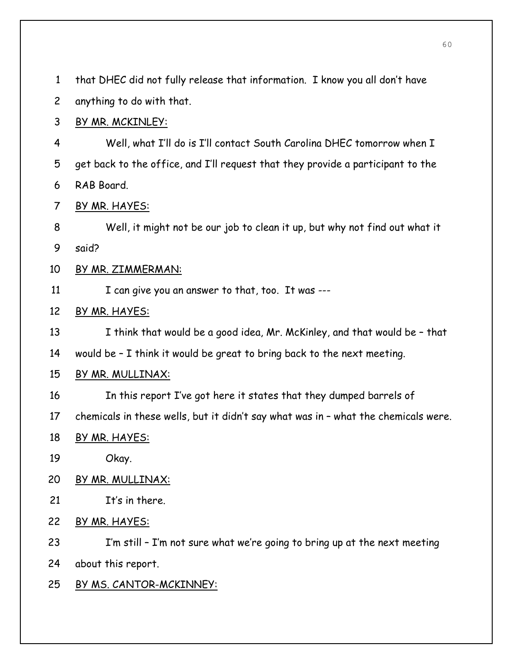1 that DHEC did not fully release that information. I know you all don't have

2 anything to do with that.

# 3 BY MR. MCKINLEY:

4 Well, what I'll do is I'll contact South Carolina DHEC tomorrow when I 5 get back to the office, and I'll request that they provide a participant to the 6 RAB Board.

7 BY MR. HAYES:

8 Well, it might not be our job to clean it up, but why not find out what it 9 said?

# 10 BY MR. ZIMMERMAN:

11 I can give you an answer to that, too. It was ---

# 12 BY MR. HAYES:

13 I think that would be a good idea, Mr. McKinley, and that would be – that

14 would be – I think it would be great to bring back to the next meeting.

# 15 BY MR. MULLINAX:

- 16 In this report I've got here it states that they dumped barrels of
- 17 chemicals in these wells, but it didn't say what was in what the chemicals were.
- 18 BY MR. HAYES:
- 19 Okay.

# 20 BY MR. MULLINAX:

- 21 It's in there.
- 22 BY MR. HAYES:

23 I'm still – I'm not sure what we're going to bring up at the next meeting 24 about this report.

# 25 BY MS. CANTOR-MCKINNEY: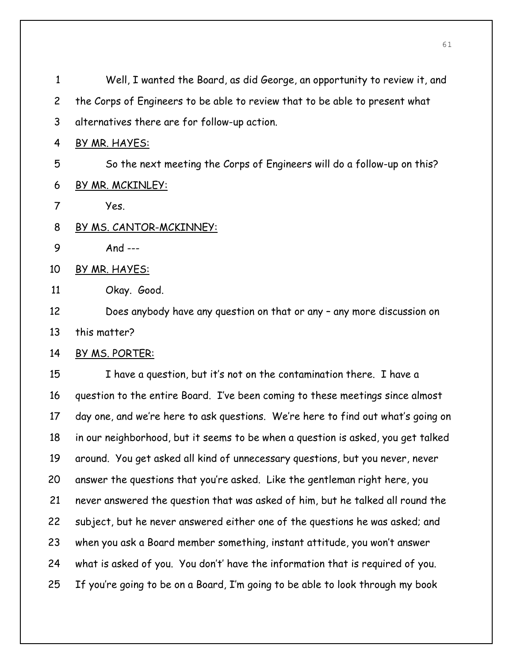1 Well, I wanted the Board, as did George, an opportunity to review it, and 2 the Corps of Engineers to be able to review that to be able to present what 3 alternatives there are for follow-up action. 4 BY MR. HAYES: 5 So the next meeting the Corps of Engineers will do a follow-up on this? 6 BY MR. MCKINLEY: 7 Yes. 8 BY MS. CANTOR-MCKINNEY: 9 And --- 10 BY MR. HAYES: 11 Okay. Good. 12 Does anybody have any question on that or any – any more discussion on 13 this matter? 14 BY MS. PORTER: 15 I have a question, but it's not on the contamination there. I have a 16 question to the entire Board. I've been coming to these meetings since almost 17 day one, and we're here to ask questions. We're here to find out what's going on 18 in our neighborhood, but it seems to be when a question is asked, you get talked 19 around. You get asked all kind of unnecessary questions, but you never, never 20 answer the questions that you're asked. Like the gentleman right here, you 21 never answered the question that was asked of him, but he talked all round the 22 subject, but he never answered either one of the questions he was asked; and 23 when you ask a Board member something, instant attitude, you won't answer 24 what is asked of you. You don't' have the information that is required of you. 25 If you're going to be on a Board, I'm going to be able to look through my book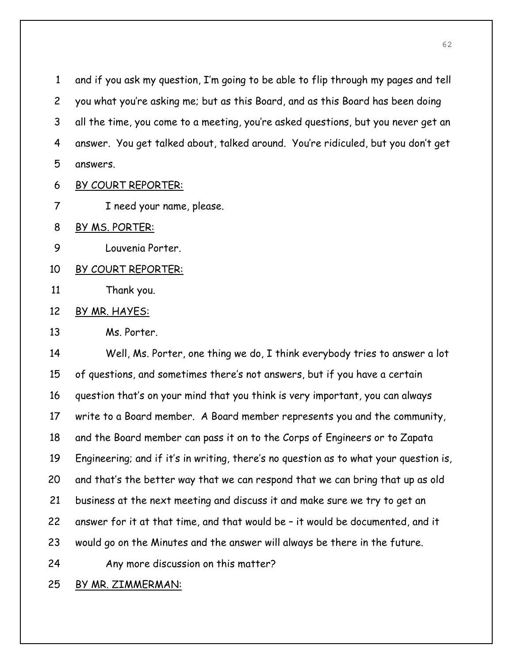1 and if you ask my question, I'm going to be able to flip through my pages and tell 2 you what you're asking me; but as this Board, and as this Board has been doing 3 all the time, you come to a meeting, you're asked questions, but you never get an 4 answer. You get talked about, talked around. You're ridiculed, but you don't get 5 answers.

- 6 BY COURT REPORTER:
- 7 I need your name, please.
- 8 BY MS. PORTER:
- 9 Louvenia Porter.
- 10 BY COURT REPORTER:
- 11 Thank you.
- 12 BY MR. HAYES:
- 13 Ms. Porter.

14 Well, Ms. Porter, one thing we do, I think everybody tries to answer a lot 15 of questions, and sometimes there's not answers, but if you have a certain 16 question that's on your mind that you think is very important, you can always 17 write to a Board member. A Board member represents you and the community, 18 and the Board member can pass it on to the Corps of Engineers or to Zapata 19 Engineering; and if it's in writing, there's no question as to what your question is, 20 and that's the better way that we can respond that we can bring that up as old 21 business at the next meeting and discuss it and make sure we try to get an 22 answer for it at that time, and that would be – it would be documented, and it 23 would go on the Minutes and the answer will always be there in the future. 24 Any more discussion on this matter?

25 BY MR. ZIMMERMAN: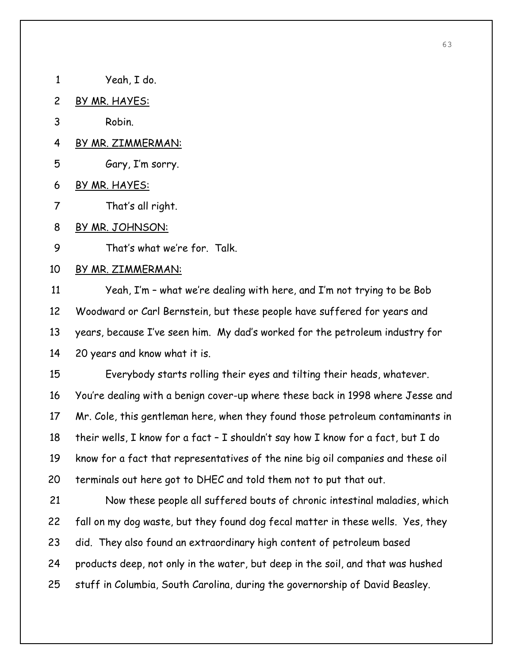- 1 Yeah, I do.
- 2 BY MR. HAYES:
- 3 Robin.
- 4 BY MR. ZIMMERMAN:
- 5 Gary, I'm sorry.
- 6 BY MR. HAYES:
- 7 That's all right.
- 8 BY MR. JOHNSON:
- 9 That's what we're for. Talk.

#### 10 BY MR. ZIMMERMAN:

11 Yeah, I'm – what we're dealing with here, and I'm not trying to be Bob 12 Woodward or Carl Bernstein, but these people have suffered for years and 13 years, because I've seen him. My dad's worked for the petroleum industry for 14 20 years and know what it is.

15 Everybody starts rolling their eyes and tilting their heads, whatever. 16 You're dealing with a benign cover-up where these back in 1998 where Jesse and 17 Mr. Cole, this gentleman here, when they found those petroleum contaminants in 18 their wells, I know for a fact – I shouldn't say how I know for a fact, but I do 19 know for a fact that representatives of the nine big oil companies and these oil 20 terminals out here got to DHEC and told them not to put that out.

21 Now these people all suffered bouts of chronic intestinal maladies, which 22 fall on my dog waste, but they found dog fecal matter in these wells. Yes, they 23 did. They also found an extraordinary high content of petroleum based 24 products deep, not only in the water, but deep in the soil, and that was hushed 25 stuff in Columbia, South Carolina, during the governorship of David Beasley.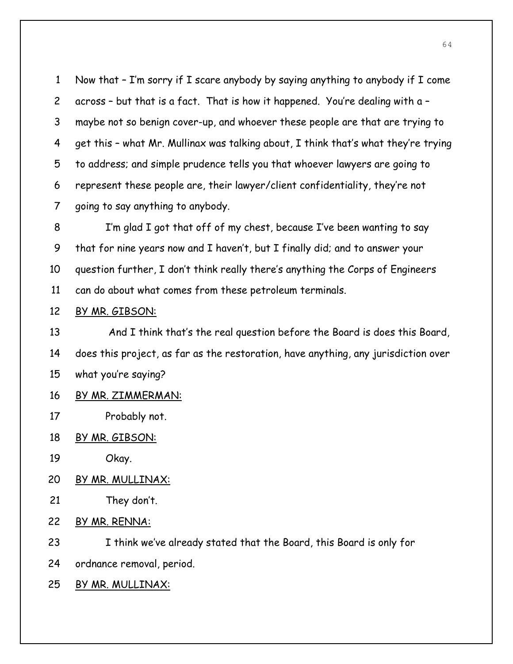1 Now that – I'm sorry if I scare anybody by saying anything to anybody if I come 2 across – but that is a fact. That is how it happened. You're dealing with a – 3 maybe not so benign cover-up, and whoever these people are that are trying to 4 get this – what Mr. Mullinax was talking about, I think that's what they're trying 5 to address; and simple prudence tells you that whoever lawyers are going to 6 represent these people are, their lawyer/client confidentiality, they're not 7 going to say anything to anybody.

8 I'm glad I got that off of my chest, because I've been wanting to say 9 that for nine years now and I haven't, but I finally did; and to answer your 10 question further, I don't think really there's anything the Corps of Engineers 11 can do about what comes from these petroleum terminals.

#### 12 BY MR. GIBSON:

13 And I think that's the real question before the Board is does this Board, 14 does this project, as far as the restoration, have anything, any jurisdiction over 15 what you're saying?

- 16 BY MR. ZIMMERMAN:
- 17 Probably not.
- 18 BY MR. GIBSON:
- 19 Okay.
- 20 BY MR. MULLINAX:
- 21 They don't.
- 22 BY MR. RENNA:

23 I think we've already stated that the Board, this Board is only for

24 ordnance removal, period.

25 BY MR. MULLINAX: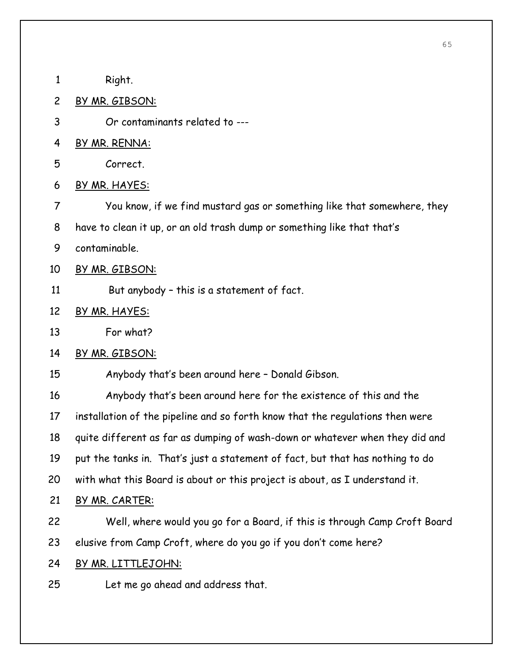- 1 Right.
- 2 BY MR. GIBSON:
- 3 Or contaminants related to ---
- 4 BY MR. RENNA:
- 5 Correct.
- 6 BY MR. HAYES:
- 7 You know, if we find mustard gas or something like that somewhere, they
- 8 have to clean it up, or an old trash dump or something like that that's
- 9 contaminable.
- 10 BY MR. GIBSON:
- 11 But anybody this is a statement of fact.
- 12 BY MR. HAYES:
- 13 For what?
- 14 BY MR. GIBSON:
- 15 Anybody that's been around here Donald Gibson.

16 Anybody that's been around here for the existence of this and the 17 installation of the pipeline and so forth know that the regulations then were 18 quite different as far as dumping of wash-down or whatever when they did and 19 put the tanks in. That's just a statement of fact, but that has nothing to do 20 with what this Board is about or this project is about, as I understand it.

- 21 BY MR. CARTER:
- 22 Well, where would you go for a Board, if this is through Camp Croft Board
- 23 elusive from Camp Croft, where do you go if you don't come here?
- 24 BY MR. LITTLEJOHN:
- 25 Let me go ahead and address that.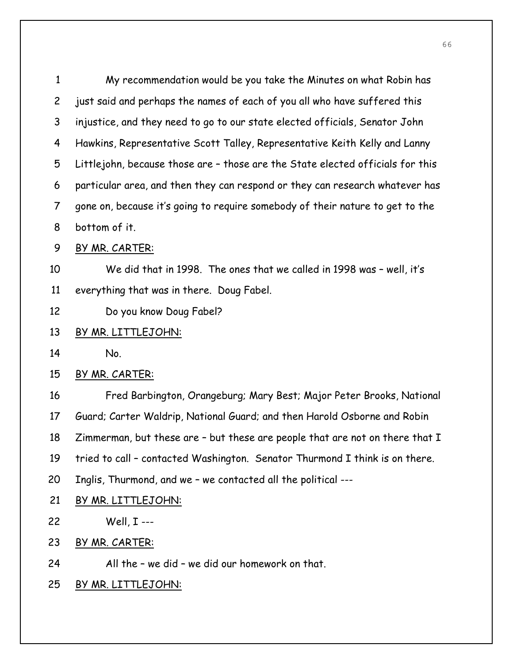1 My recommendation would be you take the Minutes on what Robin has 2 just said and perhaps the names of each of you all who have suffered this 3 injustice, and they need to go to our state elected officials, Senator John 4 Hawkins, Representative Scott Talley, Representative Keith Kelly and Lanny 5 Littlejohn, because those are – those are the State elected officials for this 6 particular area, and then they can respond or they can research whatever has 7 gone on, because it's going to require somebody of their nature to get to the 8 bottom of it.

9 BY MR. CARTER:

10 We did that in 1998. The ones that we called in 1998 was – well, it's 11 everything that was in there. Doug Fabel.

- 12 Do you know Doug Fabel?
- 13 BY MR. LITTLEJOHN:
- 14 No.
- 15 BY MR. CARTER:

16 Fred Barbington, Orangeburg; Mary Best; Major Peter Brooks, National 17 Guard; Carter Waldrip, National Guard; and then Harold Osborne and Robin 18 Zimmerman, but these are – but these are people that are not on there that I 19 tried to call – contacted Washington. Senator Thurmond I think is on there. 20 Inglis, Thurmond, and we – we contacted all the political ---

21 BY MR. LITTLEJOHN:

22 Well, I ---

- 23 BY MR. CARTER:
- 24 All the we did we did our homework on that.
- 25 BY MR. LITTLEJOHN: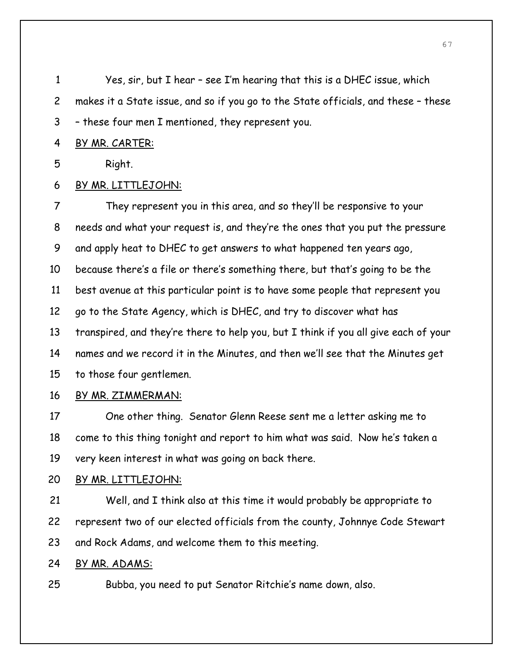1 Yes, sir, but I hear – see I'm hearing that this is a DHEC issue, which 2 makes it a State issue, and so if you go to the State officials, and these – these 3 – these four men I mentioned, they represent you.

#### 4 BY MR. CARTER:

5 Right.

# 6 BY MR. LITTLEJOHN:

7 They represent you in this area, and so they'll be responsive to your 8 needs and what your request is, and they're the ones that you put the pressure 9 and apply heat to DHEC to get answers to what happened ten years ago, 10 because there's a file or there's something there, but that's going to be the 11 best avenue at this particular point is to have some people that represent you 12 go to the State Agency, which is DHEC, and try to discover what has 13 transpired, and they're there to help you, but I think if you all give each of your 14 names and we record it in the Minutes, and then we'll see that the Minutes get 15 to those four gentlemen. 16 BY MR. ZIMMERMAN:

# 17 One other thing. Senator Glenn Reese sent me a letter asking me to 18 come to this thing tonight and report to him what was said. Now he's taken a 19 very keen interest in what was going on back there.

# 20 BY MR. LITTLEJOHN:

21 Well, and I think also at this time it would probably be appropriate to 22 represent two of our elected officials from the county, Johnnye Code Stewart 23 and Rock Adams, and welcome them to this meeting.

# 24 BY MR. ADAMS:

25 Bubba, you need to put Senator Ritchie's name down, also.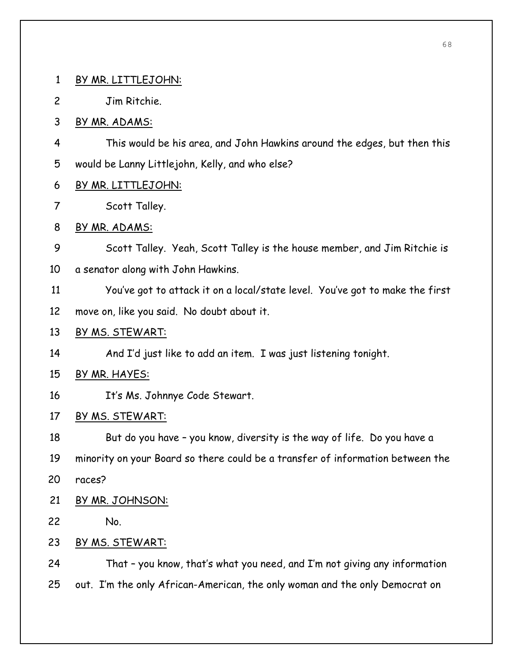- 1 BY MR. LITTLEJOHN:
- 2 Jim Ritchie.
- 3 BY MR. ADAMS:
- 4 This would be his area, and John Hawkins around the edges, but then this 5 would be Lanny Littlejohn, Kelly, and who else?
- 6 BY MR. LITTLEJOHN:
- 7 Scott Talley.
- 8 BY MR. ADAMS:
- 9 Scott Talley. Yeah, Scott Talley is the house member, and Jim Ritchie is
- 10 a senator along with John Hawkins.
- 11 You've got to attack it on a local/state level. You've got to make the first
- 12 move on, like you said. No doubt about it.
- 13 BY MS. STEWART:
- 14 And I'd just like to add an item. I was just listening tonight.
- 15 BY MR. HAYES:
- 16 It's Ms. Johnnye Code Stewart.
- 17 BY MS. STEWART:
- 18 But do you have you know, diversity is the way of life. Do you have a
- 19 minority on your Board so there could be a transfer of information between the
- 20 races?
- 21 BY MR. JOHNSON:
- 22 No.
- 23 BY MS. STEWART:

24 That – you know, that's what you need, and I'm not giving any information 25 out. I'm the only African-American, the only woman and the only Democrat on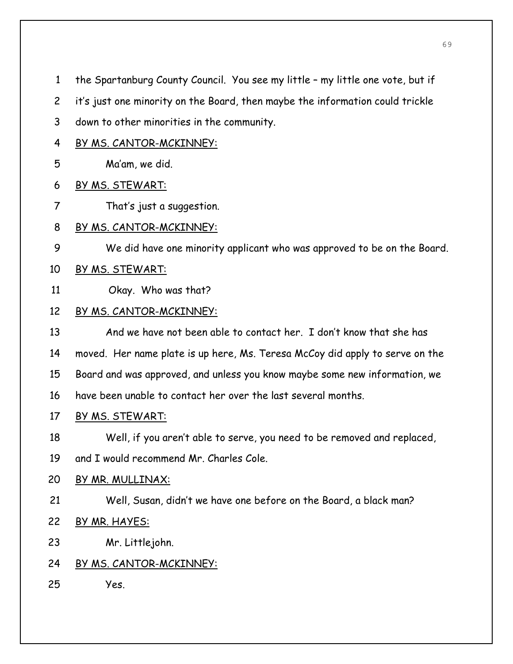1 the Spartanburg County Council. You see my little – my little one vote, but if

- 2 it's just one minority on the Board, then maybe the information could trickle
- 3 down to other minorities in the community.
- 4 BY MS. CANTOR-MCKINNEY:

5 Ma'am, we did.

- 6 BY MS. STEWART:
- 7 That's just a suggestion.
- 8 BY MS. CANTOR-MCKINNEY:
- 9 We did have one minority applicant who was approved to be on the Board.
- 10 BY MS. STEWART:
- 11 Okay. Who was that?

# 12 BY MS. CANTOR-MCKINNEY:

- 13 And we have not been able to contact her. I don't know that she has 14 moved. Her name plate is up here, Ms. Teresa McCoy did apply to serve on the 15 Board and was approved, and unless you know maybe some new information, we 16 have been unable to contact her over the last several months.
- 17 BY MS. STEWART:
- 18 Well, if you aren't able to serve, you need to be removed and replaced,
- 19 and I would recommend Mr. Charles Cole.

# 20 BY MR. MULLINAX:

- 21 Well, Susan, didn't we have one before on the Board, a black man?
- 22 BY MR. HAYES:
- 23 Mr. Littlejohn.

# 24 BY MS. CANTOR-MCKINNEY:

25 Yes.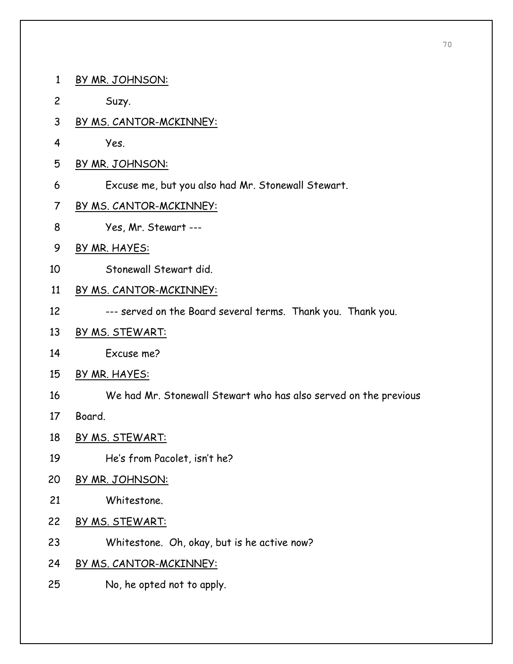- 1 BY MR. JOHNSON:
- 2 Suzy.
- 3 BY MS. CANTOR-MCKINNEY:
- 4 Yes.
- 5 BY MR. JOHNSON:
- 6 Excuse me, but you also had Mr. Stonewall Stewart.
- 7 BY MS. CANTOR-MCKINNEY:
- 8 Yes, Mr. Stewart ---
- 9 BY MR. HAYES:
- 10 Stonewall Stewart did.
- 11 BY MS. CANTOR-MCKINNEY:
- 12 --- served on the Board several terms. Thank you. Thank you.
- 13 BY MS. STEWART:
- 14 Excuse me?
- 15 BY MR. HAYES:
- 16 We had Mr. Stonewall Stewart who has also served on the previous
- 17 Board.
- 18 BY MS. STEWART:
- 19 He's from Pacolet, isn't he?
- 20 BY MR. JOHNSON:
- 21 Whitestone.
- 22 BY MS. STEWART:
- 23 Whitestone. Oh, okay, but is he active now?
- 24 BY MS. CANTOR-MCKINNEY:
- 25 No, he opted not to apply.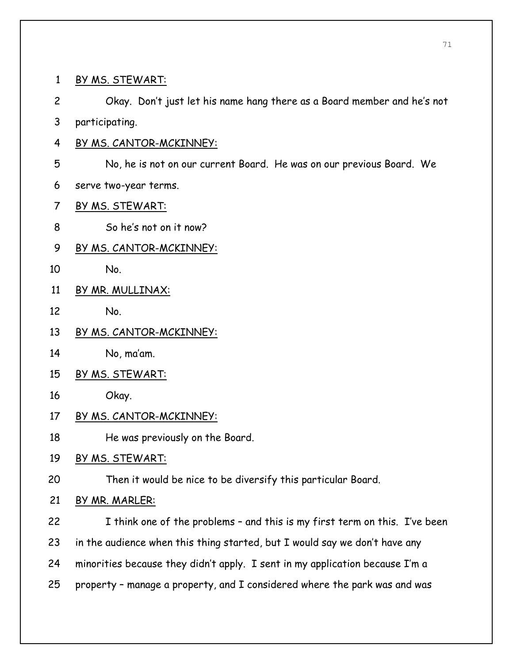1 BY MS. STEWART: 2 Okay. Don't just let his name hang there as a Board member and he's not 3 participating. 4 BY MS. CANTOR-MCKINNEY: 5 No, he is not on our current Board. He was on our previous Board. We 6 serve two-year terms. 7 BY MS. STEWART: 8 So he's not on it now? 9 BY MS. CANTOR-MCKINNEY: 10 No. 11 BY MR. MULLINAX: 12 No. 13 BY MS. CANTOR-MCKINNEY: 14 No, ma'am. 15 BY MS. STEWART: 16 Okay. 17 BY MS. CANTOR-MCKINNEY: 18 He was previously on the Board. 19 BY MS. STEWART: 20 Then it would be nice to be diversify this particular Board. 21 BY MR. MARLER: 22 I think one of the problems - and this is my first term on this. I've been 23 in the audience when this thing started, but I would say we don't have any 24 minorities because they didn't apply. I sent in my application because I'm a 25 property – manage a property, and I considered where the park was and was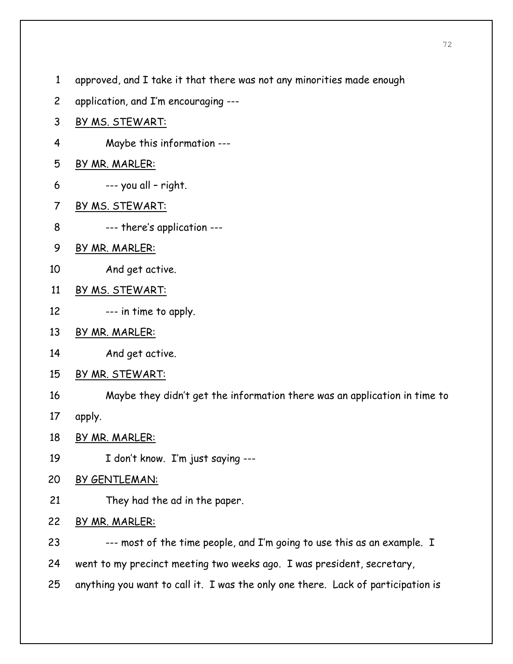- 1 approved, and I take it that there was not any minorities made enough
- 2 application, and I'm encouraging ---
- 3 BY MS. STEWART:
- 4 Maybe this information ---
- 5 BY MR. MARLER:
- $6 \qquad \qquad --$  you all right.
- 7 BY MS. STEWART:
- 8 --- there's application ---
- 9 BY MR. MARLER:
- 10 And get active.
- 11 BY MS. STEWART:
- 12 --- in time to apply.
- 13 BY MR. MARLER:
- 14 And get active.
- 15 BY MR. STEWART:
- 16 Maybe they didn't get the information there was an application in time to
- 17 apply.
- 18 BY MR. MARLER:
- 19 I don't know. I'm just saying ---
- 20 BY GENTLEMAN:
- 21 They had the ad in the paper.

# 22 BY MR. MARLER:

- 23 --- most of the time people, and I'm going to use this as an example. I
- 24 went to my precinct meeting two weeks ago. I was president, secretary,
- 25 anything you want to call it. I was the only one there. Lack of participation is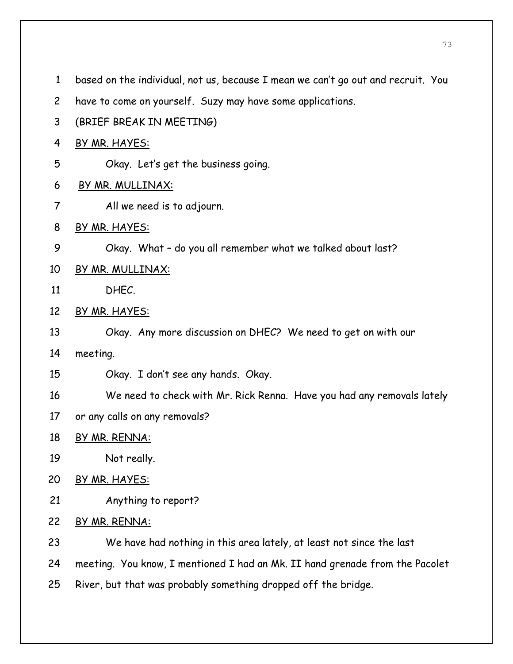- 1 based on the individual, not us, because I mean we can't go out and recruit. You
- 2 have to come on yourself. Suzy may have some applications.
- 3 (BRIEF BREAK IN MEETING)
- 4 BY MR. HAYES:
- 5 Okay. Let's get the business going.
- 6 BY MR. MULLINAX:
- 7 All we need is to adjourn.
- 8 BY MR. HAYES:
- 9 Okay. What do you all remember what we talked about last?
- 10 BY MR. MULLINAX:
- 11 DHEC.
- 12 BY MR. HAYES:
- 13 Okay. Any more discussion on DHEC? We need to get on with our
- 14 meeting.
- 15 Okay. I don't see any hands. Okay.
- 16 We need to check with Mr. Rick Renna. Have you had any removals lately
- 17 or any calls on any removals?
- 18 BY MR. RENNA:
- 19 Not really.
- 20 BY MR. HAYES:
- 21 Anything to report?
- 22 BY MR. RENNA:
- 23 We have had nothing in this area lately, at least not since the last
- 24 meeting. You know, I mentioned I had an Mk. II hand grenade from the Pacolet
- 25 River, but that was probably something dropped off the bridge.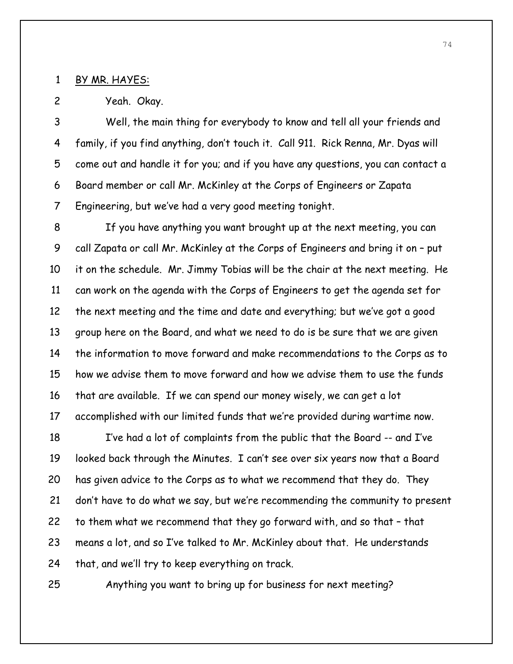#### 1 BY MR. HAYES:

2 Yeah. Okay.

3 Well, the main thing for everybody to know and tell all your friends and 4 family, if you find anything, don't touch it. Call 911. Rick Renna, Mr. Dyas will 5 come out and handle it for you; and if you have any questions, you can contact a 6 Board member or call Mr. McKinley at the Corps of Engineers or Zapata 7 Engineering, but we've had a very good meeting tonight.

8 If you have anything you want brought up at the next meeting, you can 9 call Zapata or call Mr. McKinley at the Corps of Engineers and bring it on – put 10 it on the schedule. Mr. Jimmy Tobias will be the chair at the next meeting. He 11 can work on the agenda with the Corps of Engineers to get the agenda set for 12 the next meeting and the time and date and everything; but we've got a good 13 group here on the Board, and what we need to do is be sure that we are given 14 the information to move forward and make recommendations to the Corps as to 15 how we advise them to move forward and how we advise them to use the funds 16 that are available. If we can spend our money wisely, we can get a lot 17 accomplished with our limited funds that we're provided during wartime now.

18 I've had a lot of complaints from the public that the Board -- and I've 19 looked back through the Minutes. I can't see over six years now that a Board 20 has given advice to the Corps as to what we recommend that they do. They 21 don't have to do what we say, but we're recommending the community to present 22 to them what we recommend that they go forward with, and so that – that 23 means a lot, and so I've talked to Mr. McKinley about that. He understands 24 that, and we'll try to keep everything on track.

25 Anything you want to bring up for business for next meeting?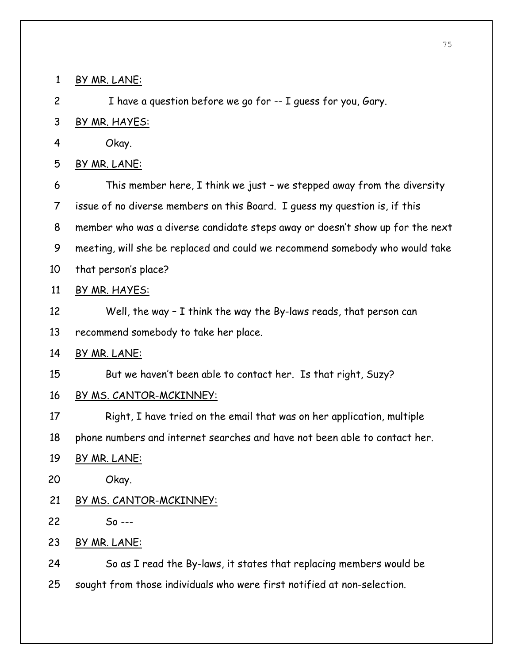1 BY MR. LANE:

2 I have a question before we go for -- I guess for you, Gary.

3 BY MR. HAYES:

4 Okay.

5 BY MR. LANE:

6 This member here, I think we just – we stepped away from the diversity 7 issue of no diverse members on this Board. I guess my question is, if this 8 member who was a diverse candidate steps away or doesn't show up for the next 9 meeting, will she be replaced and could we recommend somebody who would take 10 that person's place?

11 BY MR. HAYES:

12 Well, the way – I think the way the By-laws reads, that person can

13 recommend somebody to take her place.

14 BY MR. LANE:

15 But we haven't been able to contact her. Is that right, Suzy?

#### 16 BY MS. CANTOR-MCKINNEY:

17 Right, I have tried on the email that was on her application, multiple

18 phone numbers and internet searches and have not been able to contact her.

19 BY MR. LANE:

20 Okay.

## 21 BY MS. CANTOR-MCKINNEY:

22 So ---

23 BY MR. LANE:

24 So as I read the By-laws, it states that replacing members would be 25 sought from those individuals who were first notified at non-selection.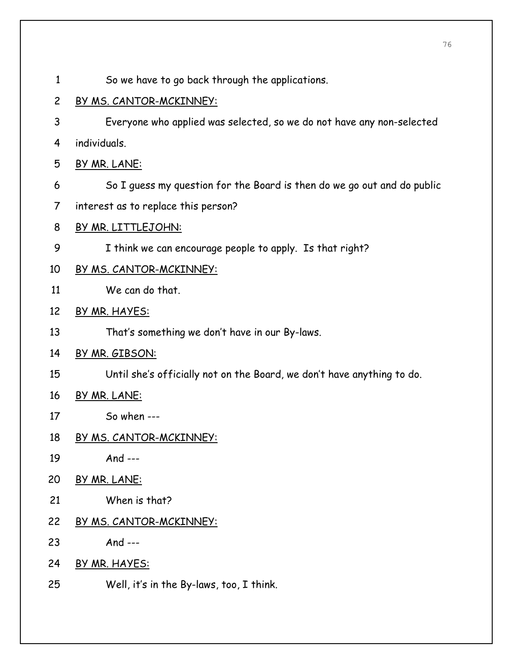- 1 So we have to go back through the applications.
- 2 BY MS. CANTOR-MCKINNEY:
- 3 Everyone who applied was selected, so we do not have any non-selected 4 individuals.
- 5 BY MR. LANE:
- 6 So I guess my question for the Board is then do we go out and do public
- 7 interest as to replace this person?
- 8 BY MR. LITTLEJOHN:
- 9 I think we can encourage people to apply. Is that right?
- 10 BY MS. CANTOR-MCKINNEY:
- 11 We can do that.
- 12 BY MR. HAYES:
- 13 That's something we don't have in our By-laws.
- 14 BY MR. GIBSON:
- 15 Until she's officially not on the Board, we don't have anything to do.
- 16 BY MR. LANE:
- 17 So when ---
- 18 BY MS. CANTOR-MCKINNEY:
- 19 And ---
- 20 BY MR. LANE:
- 21 When is that?
- 22 BY MS. CANTOR-MCKINNEY:
- 23 And ---
- 24 BY MR. HAYES:
- 25 Well, it's in the By-laws, too, I think.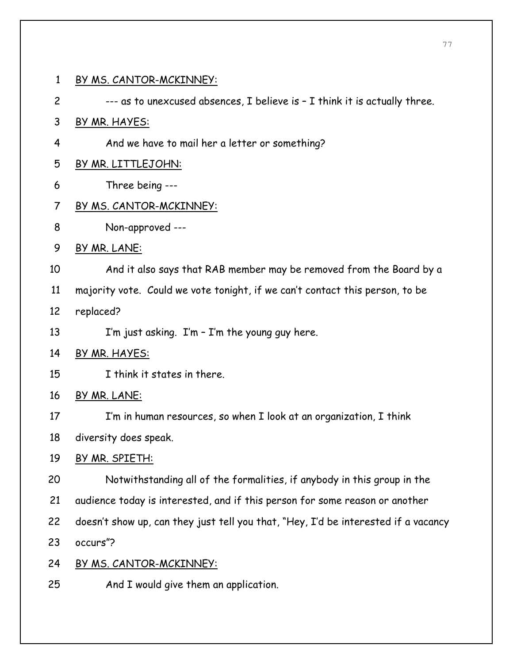1 BY MS. CANTOR-MCKINNEY: 2 --- as to unexcused absences, I believe is – I think it is actually three. 3 BY MR. HAYES: 4 And we have to mail her a letter or something? 5 BY MR. LITTLEJOHN: 6 Three being --- 7 BY MS. CANTOR-MCKINNEY: 8 Non-approved --- 9 BY MR. LANE: 10 And it also says that RAB member may be removed from the Board by a 11 majority vote. Could we vote tonight, if we can't contact this person, to be 12 replaced? 13 I'm just asking. I'm - I'm the young guy here. 14 BY MR. HAYES: 15 I think it states in there. 16 BY MR. LANE: 17 I'm in human resources, so when I look at an organization, I think 18 diversity does speak. 19 BY MR. SPIETH: 20 Notwithstanding all of the formalities, if anybody in this group in the 21 audience today is interested, and if this person for some reason or another 22 doesn't show up, can they just tell you that, "Hey, I'd be interested if a vacancy 23 occurs"? 24 BY MS. CANTOR-MCKINNEY: 25 And I would give them an application.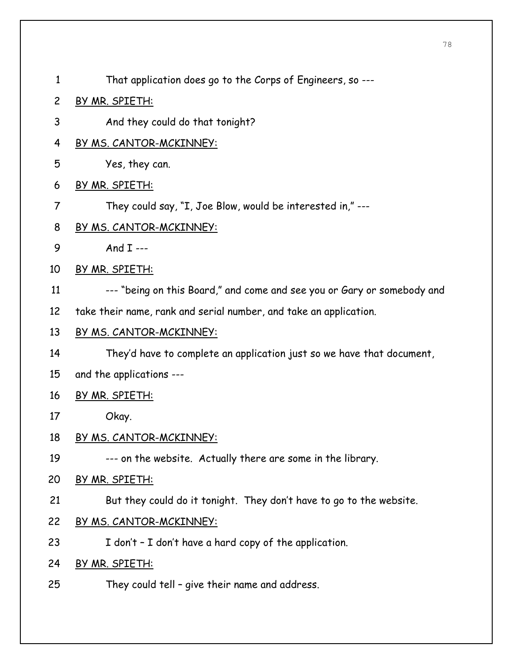- 1 That application does go to the Corps of Engineers, so ---
- 2 BY MR. SPIETH:
- 3 And they could do that tonight?
- 4 BY MS. CANTOR-MCKINNEY:
- 5 Yes, they can.
- 6 BY MR. SPIETH:
- 7 They could say, "I, Joe Blow, would be interested in," ---
- 8 BY MS. CANTOR-MCKINNEY:
- 9 And I ---
- 10 BY MR. SPIETH:
- 11 --- "being on this Board," and come and see you or Gary or somebody and
- 12 take their name, rank and serial number, and take an application.
- 13 BY MS. CANTOR-MCKINNEY:
- 14 They'd have to complete an application just so we have that document,
- 15 and the applications ---
- 16 BY MR. SPIETH:
- 17 Okay.
- 18 BY MS. CANTOR-MCKINNEY:
- 19 --- on the website. Actually there are some in the library.
- 20 BY MR. SPIETH:
- 21 But they could do it tonight. They don't have to go to the website.
- 22 BY MS. CANTOR-MCKINNEY:
- 23 I don't I don't have a hard copy of the application.
- 24 BY MR. SPIETH:
- 25 They could tell give their name and address.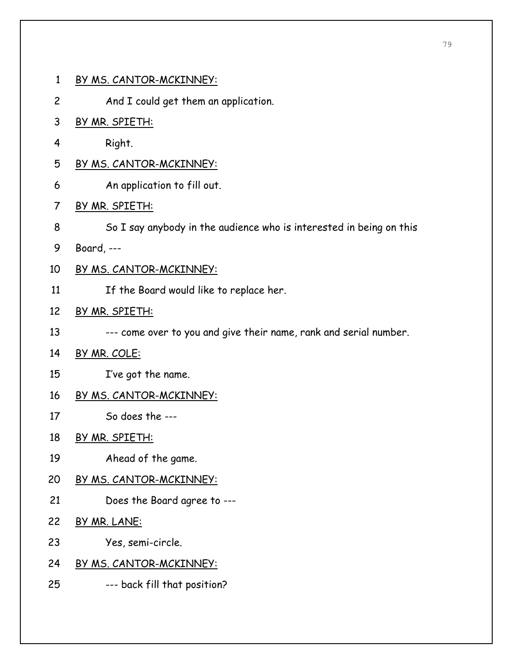- 1 BY MS. CANTOR-MCKINNEY:
- 2 And I could get them an application.
- 3 BY MR. SPIETH:
- 4 Right.
- 5 BY MS. CANTOR-MCKINNEY:
- 6 An application to fill out.
- 7 BY MR. SPIETH:
- 8 So I say anybody in the audience who is interested in being on this
- 9 Board, ---
- 10 BY MS. CANTOR-MCKINNEY:
- 11 If the Board would like to replace her.
- 12 BY MR. SPIETH:
- 13 --- come over to you and give their name, rank and serial number.
- 14 BY MR. COLE:
- 15 I've got the name.
- 16 BY MS. CANTOR-MCKINNEY:
- 17 So does the ---
- 18 BY MR. SPIETH:
- 19 Ahead of the game.
- 20 BY MS. CANTOR-MCKINNEY:
- 21 Does the Board agree to ---
- 22 BY MR. LANE:
- 23 Yes, semi-circle.
- 24 BY MS. CANTOR-MCKINNEY:
- 25 --- back fill that position?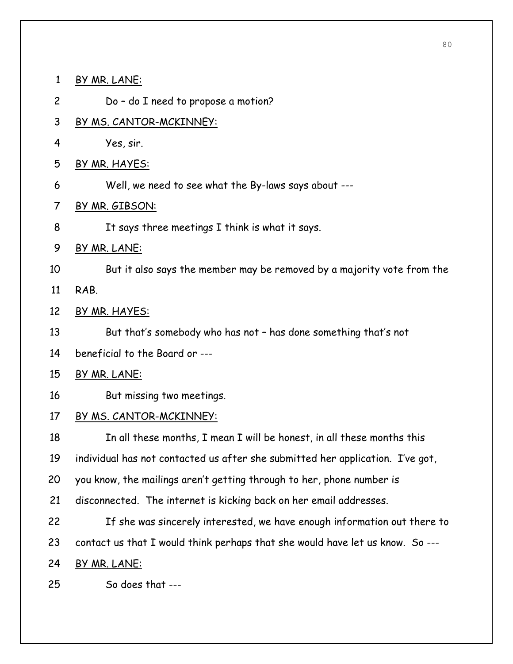1 BY MR. LANE:

2 Do – do I need to propose a motion?

- 3 BY MS. CANTOR-MCKINNEY:
- 4 Yes, sir.
- 5 BY MR. HAYES:
- 6 Well, we need to see what the By-laws says about ---
- 7 BY MR. GIBSON:
- 8 It says three meetings I think is what it says.
- 9 BY MR. LANE:
- 10 But it also says the member may be removed by a majority vote from the
- 11 RAB.
- 12 BY MR. HAYES:
- 13 But that's somebody who has not has done something that's not
- 14 beneficial to the Board or ---
- 15 BY MR. LANE:
- 16 But missing two meetings.
- 17 BY MS. CANTOR-MCKINNEY:

18 In all these months, I mean I will be honest, in all these months this

19 individual has not contacted us after she submitted her application. I've got,

- 20 you know, the mailings aren't getting through to her, phone number is
- 21 disconnected. The internet is kicking back on her email addresses.
- 22 If she was sincerely interested, we have enough information out there to 23 contact us that I would think perhaps that she would have let us know. So ---
- 24 BY MR. LANE:
- 25 So does that ---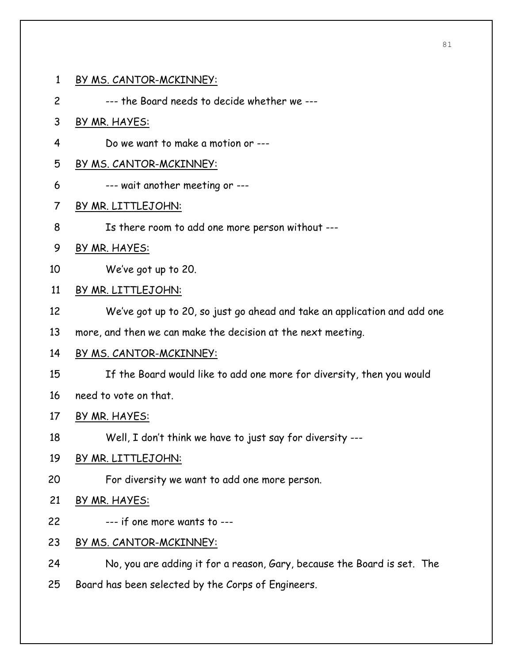#### 1 BY MS. CANTOR-MCKINNEY:

2 --- the Board needs to decide whether we ---

#### 3 BY MR. HAYES:

4 Do we want to make a motion or ---

#### 5 BY MS. CANTOR-MCKINNEY:

6 --- wait another meeting or ---

#### 7 BY MR. LITTLEJOHN:

8 Is there room to add one more person without ---

#### 9 BY MR. HAYES:

10 We've got up to 20.

#### 11 BY MR. LITTLEJOHN:

- 12 We've got up to 20, so just go ahead and take an application and add one
- 13 more, and then we can make the decision at the next meeting.
- 14 BY MS. CANTOR-MCKINNEY:
- 15 If the Board would like to add one more for diversity, then you would
- 16 need to vote on that.

#### 17 BY MR. HAYES:

18 Well, I don't think we have to just say for diversity ---

#### 19 BY MR. LITTLEJOHN:

20 For diversity we want to add one more person.

### 21 BY MR. HAYES:

- 22 --- if one more wants to ---
- 23 BY MS. CANTOR-MCKINNEY:
- 24 No, you are adding it for a reason, Gary, because the Board is set. The
- 25 Board has been selected by the Corps of Engineers.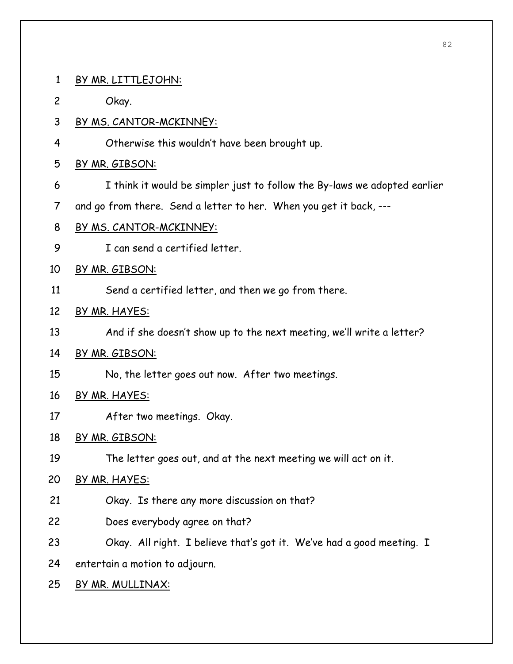1 BY MR. LITTLEJOHN: 2 Okay. 3 BY MS. CANTOR-MCKINNEY: 4 Otherwise this wouldn't have been brought up. 5 BY MR. GIBSON: 6 I think it would be simpler just to follow the By-laws we adopted earlier 7 and go from there. Send a letter to her. When you get it back, --- 8 BY MS. CANTOR-MCKINNEY: 9 I can send a certified letter. 10 BY MR. GIBSON: 11 Send a certified letter, and then we go from there. 12 BY MR. HAYES: 13 And if she doesn't show up to the next meeting, we'll write a letter? 14 BY MR. GIBSON: 15 No, the letter goes out now. After two meetings. 16 BY MR. HAYES: 17 After two meetings. Okay. 18 BY MR. GIBSON: 19 The letter goes out, and at the next meeting we will act on it. 20 BY MR. HAYES: 21 Okay. Is there any more discussion on that? 22 Does everybody agree on that? 23 Okay. All right. I believe that's got it. We've had a good meeting. I 24 entertain a motion to adjourn. 25 BY MR. MULLINAX: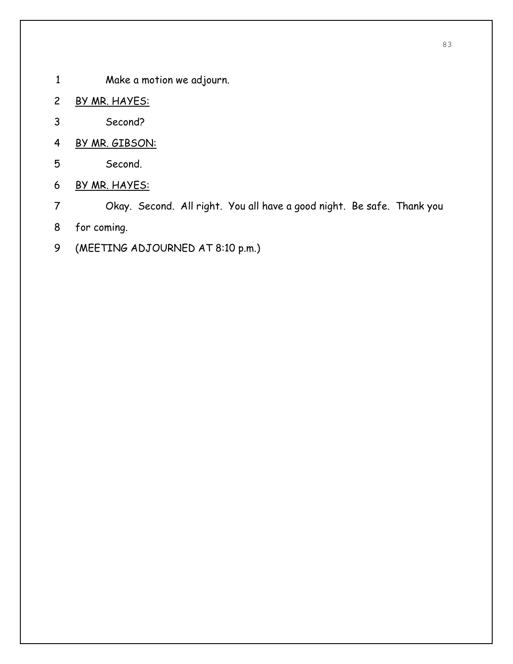- 1 Make a motion we adjourn.
- 2 BY MR. HAYES:
- 3 Second?
- 4 BY MR. GIBSON:
- 5 Second.
- 6 BY MR. HAYES:
- 7 Okay. Second. All right. You all have a good night. Be safe. Thank you
- 8 for coming.
- 9 (MEETING ADJOURNED AT 8:10 p.m.)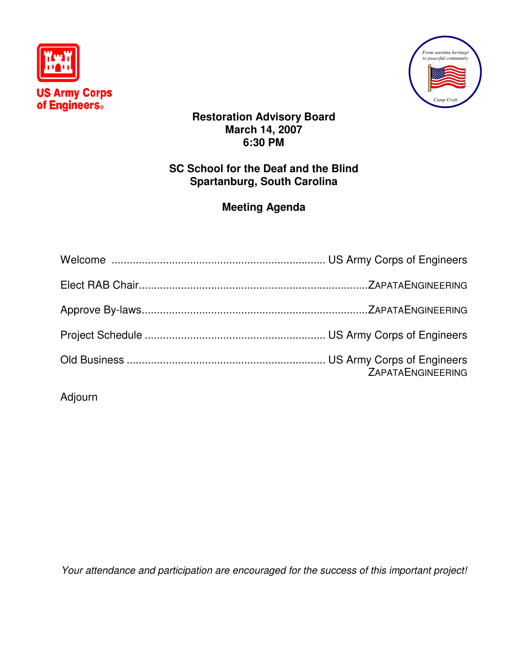



## **Restoration Advisory Board March 14, 2007 6:30 PM**

## **SC School for the Deaf and the Blind Spartanburg, South Carolina**

# **Meeting Agenda**

| <b>ZAPATAENGINEERING</b> |
|--------------------------|

Adjourn

Your attendance and participation are encouraged for the success of this important project!